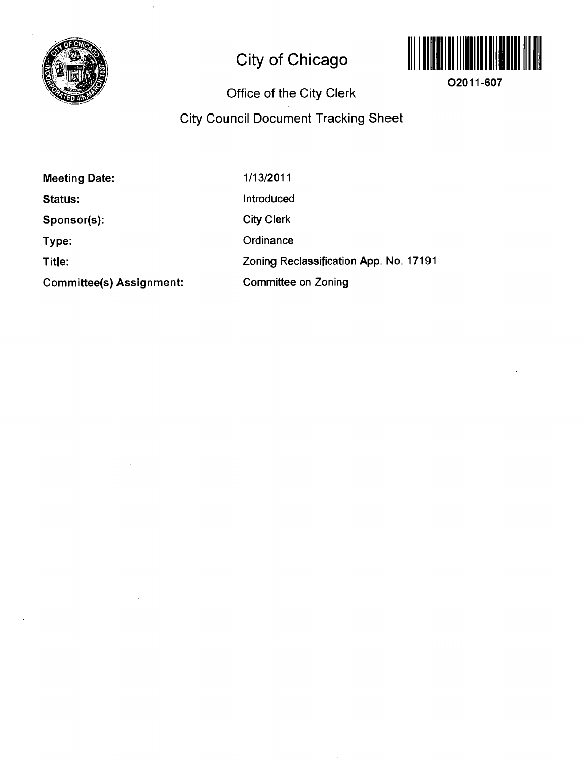

# **City of Chicago**



**02011-607** 

## **Office of the City Clerk**

## **City Council Document Tracking Sheet**

**Meeting Date:** 

**Status:** 

**Sponsor(s):** 

**Type:** 

**Title:** 

**Committee(s) Assignment:** 

1/13/2011

Introduced

City Clerk

**Ordinance** 

Zoning Reclassification App. No. 17191

Committee on Zoning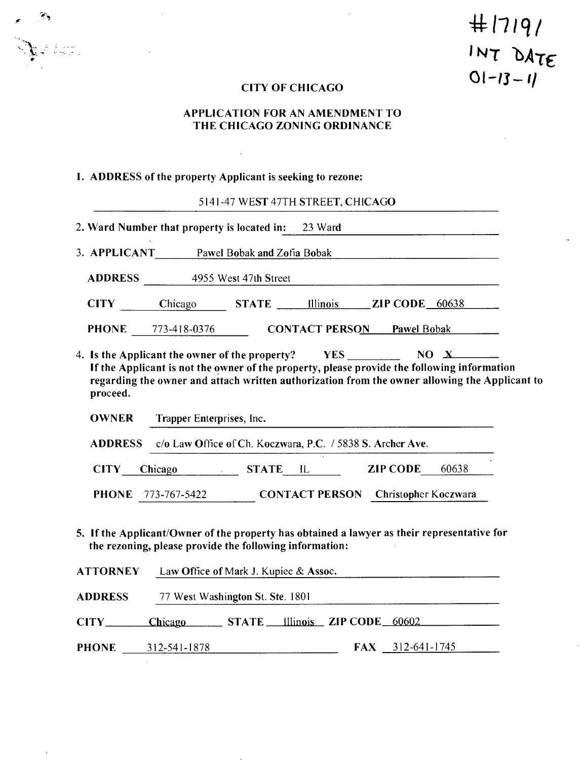**#(7/9/**  INT DATE **Ol-;j-/ /** 

## **CITY OF CHICAGO**

## **APPLICATION FOR AN AMENDMENT TO THE CHICAGO ZONING ORDINANCE**

## **1. ADDRESS of the property Applicant is seeking to rezone:**

 $\mathcal{L}^{\text{max}}_{\text{max}}$  and  $\mathcal{L}^{\text{max}}_{\text{max}}$ 

 $\bar{\mathbf{r}}$ 

 $\mathcal{L}$ 

 $\mathbf{v} \cdot \mathbf{v}$ 

5141-47 WEST 47TH STREET, CHICAGO

|                 | 2. Ward Number that property is located in: 23 Ward                                                                                                    |                                       |                                            |                                                                                                                     |                                                                                                                                                                                              |  |
|-----------------|--------------------------------------------------------------------------------------------------------------------------------------------------------|---------------------------------------|--------------------------------------------|---------------------------------------------------------------------------------------------------------------------|----------------------------------------------------------------------------------------------------------------------------------------------------------------------------------------------|--|
|                 | 3. APPLICANT Pawel Bobak and Zofia Bobak                                                                                                               |                                       |                                            |                                                                                                                     |                                                                                                                                                                                              |  |
|                 | <b>ADDRESS</b> 4955 West 47th Street                                                                                                                   |                                       |                                            |                                                                                                                     |                                                                                                                                                                                              |  |
|                 | CITY Chicago STATE Illinois ZIP CODE 60638                                                                                                             |                                       |                                            |                                                                                                                     |                                                                                                                                                                                              |  |
|                 | PHONE 773-418-0376 CONTACT PERSON Pawel Bobak                                                                                                          |                                       |                                            |                                                                                                                     |                                                                                                                                                                                              |  |
| proceed.        | 4. Is the Applicant the owner of the property? YES NO X                                                                                                |                                       |                                            |                                                                                                                     | If the Applicant is not the owner of the property, please provide the following information<br>regarding the owner and attach written authorization from the owner allowing the Applicant to |  |
| <b>OWNER</b>    | Trapper Enterprises, Inc.                                                                                                                              |                                       |                                            | and the contract of the contract of the contract of the contract of the contract of the contract of the contract of |                                                                                                                                                                                              |  |
|                 | ADDRESS c/o Law Office of Ch. Koczwara, P.C. / 5838 S. Archer Ave.                                                                                     |                                       |                                            |                                                                                                                     |                                                                                                                                                                                              |  |
| <b>CITY</b>     | <b>Chicago</b>                                                                                                                                         |                                       | STATE IL ZIP CODE 60638                    |                                                                                                                     |                                                                                                                                                                                              |  |
| <b>PHONE</b>    | 773-767-5422                                                                                                                                           |                                       | <b>CONTACT PERSON</b> Christopher Koczwara |                                                                                                                     |                                                                                                                                                                                              |  |
|                 | 5. If the Applicant/Owner of the property has obtained a lawyer as their representative for<br>the rezoning, please provide the following information: |                                       |                                            |                                                                                                                     |                                                                                                                                                                                              |  |
| <b>ATTORNEY</b> |                                                                                                                                                        | Law Office of Mark J. Kupiec & Assoc. |                                            |                                                                                                                     |                                                                                                                                                                                              |  |
| <b>ADDRESS</b>  |                                                                                                                                                        | 77 West Washington St. Ste. 1801      |                                            |                                                                                                                     |                                                                                                                                                                                              |  |
|                 | Chicago STATE Illinois ZIP CODE 60602                                                                                                                  |                                       |                                            |                                                                                                                     |                                                                                                                                                                                              |  |
| <b>PHONE</b>    | 312-541-1878                                                                                                                                           |                                       |                                            | 312-641-1745<br><b>FAX</b>                                                                                          |                                                                                                                                                                                              |  |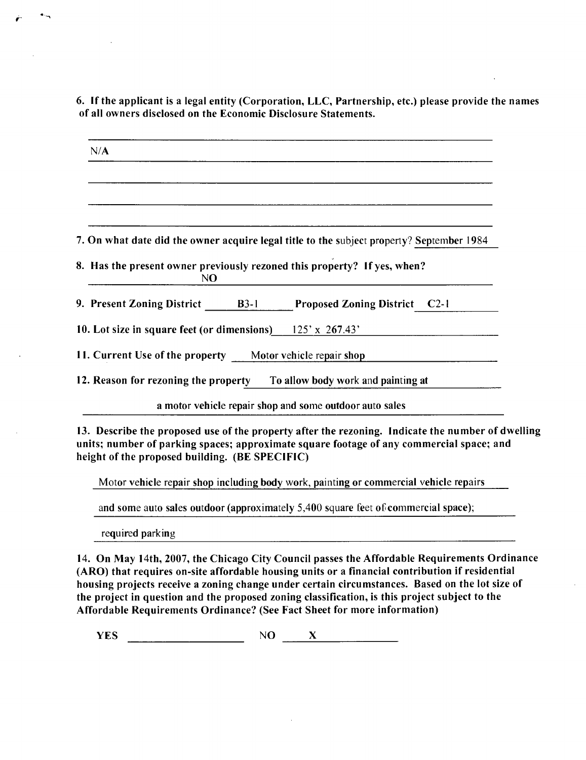**6. If the applicant is a legal entity (Corporation, LLC, Partnership, etc.) please provide the names ofall owners disclosed on the Economic Disclosure Statements.** 

| N/A                                                               |                                                                                           |
|-------------------------------------------------------------------|-------------------------------------------------------------------------------------------|
|                                                                   |                                                                                           |
|                                                                   | 7. On what date did the owner acquire legal title to the subject property? September 1984 |
| N <sub>O</sub>                                                    | 8. Has the present owner previously rezoned this property? If yes, when?                  |
| 9. Present Zoning District B3-1                                   | <b>Proposed Zoning District</b> C2-1                                                      |
| 10. Lot size in square feet (or dimensions) $125' \times 267.43'$ |                                                                                           |
| 11. Current Use of the property Motor vehicle repair shop         |                                                                                           |
|                                                                   | 12. Reason for rezoning the property To allow body work and painting at                   |
|                                                                   | a motor vehicle repair shop and some outdoor auto sales                                   |

**13. Describe the proposed use of the property after the rezoning. Indicate the number of dwelling units; number of parking spaces; approximate square footage of any commercial space; and**  height of the proposed building. (BE SPECIFIC)

Motor vehicle repair shop including body work, painting or commercial vehicle repairs

and some auto sales outdoor (approximately 5,400 square feet of commercial space);

required parking

**14. On May 14th, 2007, the Chicago City Council passes the Affordable Requirements Ordinance (ARO) that requires on-site affordable housing units or a financial contribution if residential housing projects receive a zoning change under certain circumstances. Based on the lot size of the project in question and the proposed zoning classification, is this project subject to the Affordable Requirements Ordinance? (See Fact Sheet for more information)** 

 $YES$  NO  $X$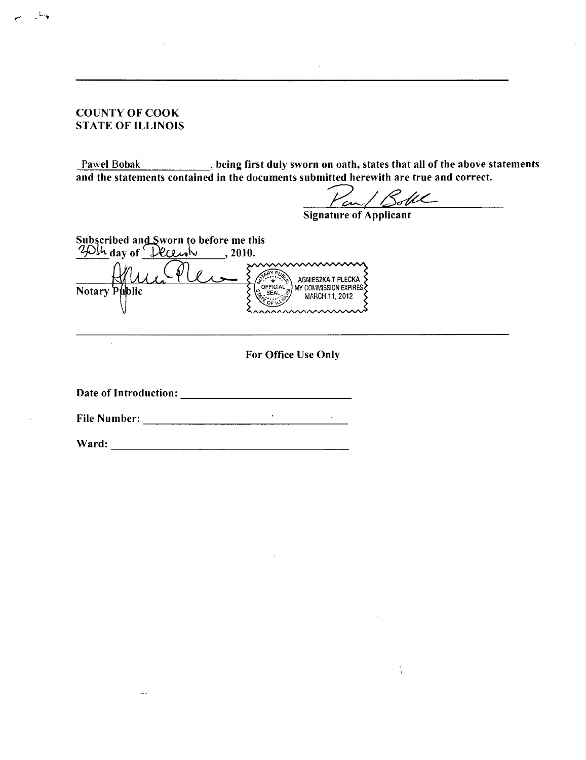## **COUNTY OF COOK STATE OF ILLINOIS**

Pawel Bobak **between paying first duly sworn on oath, states that all of the above statements and the statements contained in the documents submitted herewith are true and correct.** 

an/ Boble

à.

**Signature of Applicant** 

**Subscribed andSworn to before me this**  day of  $\sqrt{\text{PCLwh}}$ , 2010. SARY PUR AGNIESZKA T PLECKA MY COMMISSION EXPIRES **Notary Public** 

**For Office Use Only** 

**Date of Introduction:** 

**File Number:** 

**Ward:** 

الأساء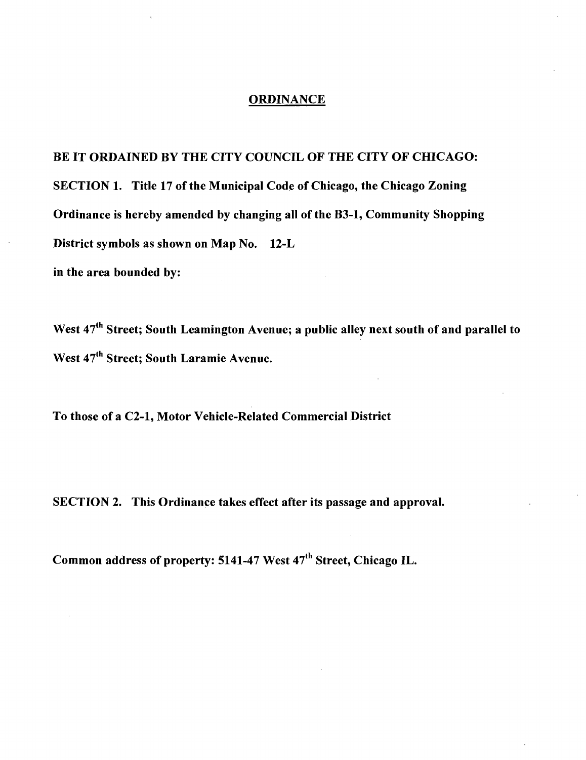## **ORDINANCE**

**BE IT ORDAINED BY THE CITY COUNCIL OF THE CITY OF CHICAGO: SECTION 1. Title 17 of the Municipal Code of Chicago, the Chicago Zoning Ordinance is hereby amended by changing all ofthe B3-1, Community Shopping District symbols as shown on Map No. 12-L in the area bounded by:** 

West 47<sup>th</sup> Street; South Leamington Avenue; a public alley next south of and parallel to West 47<sup>th</sup> Street; South Laramie Avenue.

**To those of a C2-1, Motor Vehicle-Related Commercial District** 

**SECTION 2. This Ordinance takes effect after its passage and approval.** 

Common address of property: 5141-47 West 47<sup>th</sup> Street, Chicago IL.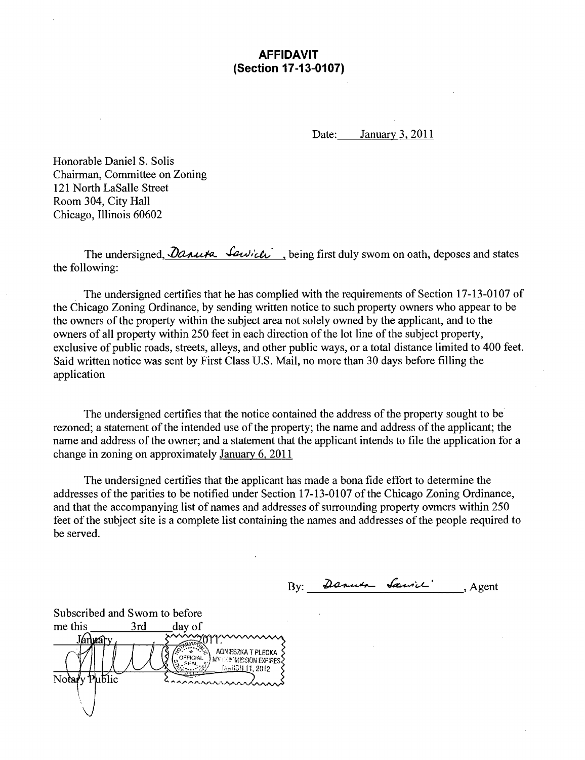## AFFIDAVIT (Section 17-13-0107)

Date: January 3, 2011

Honorable Daniel S. Solis Chairman, Committee on Zoning 121 North LaSalle Sfreet Room 304, City Hall Chicago, Illinois 60602

The undersigned,  $\partial$ anuta  $\partial$ uich, , being first duly swom on oath, deposes and states the following:

The undersigned certifies that he has complied with the requirements of Section 17-13-0107 of the Chicago Zoning Ordinance, by sending written notice to such property owners who appear to be the owners of the property within the subject area not solely owned by the applicant, and to the owners of all property within 250 feet in each direction of the lot line of the subject property, exclusive of public roads, streets, alleys, and other public ways, or a total distance limited to 400 feet. Said written notice was sent by First Class U.S. Mail, no more than 30 days before filling the application

The undersigned certifies that the notice contained the address of the property sought to be rezoned; a statement of the intended use of the property; the name and address of the applicant; the name and address of the owner; and a statement that the applicant intends to file the application for a change in zoning on approximately January 6, 2011

The undersigned certifies that the applicant has made a bona fide effort to determine the addresses of the parities to be notified under Section 17-13-0107 of the Chicago Zoning Ordinance, and that the accompanying list of names and addresses of surrounding property ovmers within 250 feet of the subject site is a complete list containing the names and addresses of the people required to be served.

 $By:$  Denuer Samic'  $Agent$ 

Subscribed and Swom to before me this  $\frac{3rd}{\sqrt{(\frac{3r}{c^2})^2}}$  day of <u>Jánuáry</u> <sup>554</sup> \* \* \* \* \* 38 AGNIESZKA T PLECKA SEAL<sub>13</sub> [kaRCH 11, 2012] ıБlіc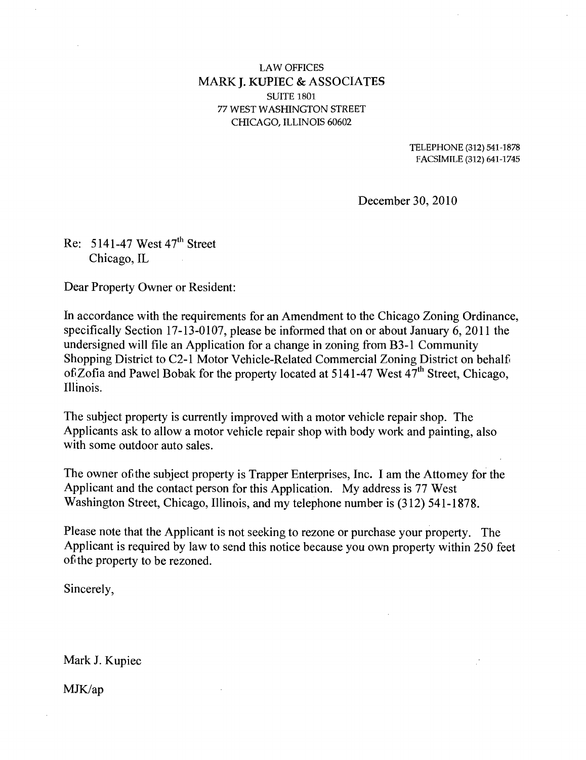## **LAW OFFICES MARK J. KUPIEC & ASSOCIATES**  SUITE 1801 77 WEST WASHINGTON STREET CHICAGO, ILLINOIS 60602

TELEPHONE (312) 541-1878 FACSIMILE (312) 641-1745

December 30, 2010

Re:  $5141-47$  West  $47<sup>th</sup>$  Street Chicago, IL

Dear Property Owner or Resident:

In accordance with the requirements for an Amendment to the Chicago Zoning Ordinance, specifically Section 17-13-0107, please be informed that on or about January 6, 2011 the undersigned will file an Application for a change in zoning from B3-1 Community Shopping District to C2-1 Motor Vehicle-Related Commercial Zoning District on behalf of Zofia and Pawel Bobak for the property located at 5141-47 West  $47<sup>th</sup>$  Street, Chicago, Illinois.

The subject property is currently improved with a motor vehicle repair shop. The Applicants ask to allow a motor vehicle repair shop with body work and painting, also with some outdoor auto sales.

The owner of the subject property is Trapper Enterprises, Inc. I am the Attomey for the Applicant and the contact person for this Application. My address is 77 West Washington Street, Chicago, Illinois, and my telephone number is (312) 541-1878.

Please note that the Applicant is not seeking to rezone or purchase your property. The Applicant is required by law to send this notice because you own property within 250 feet ofthe property to be rezoned.

Sincerely,

Mark J. Kupiec

MJK/ap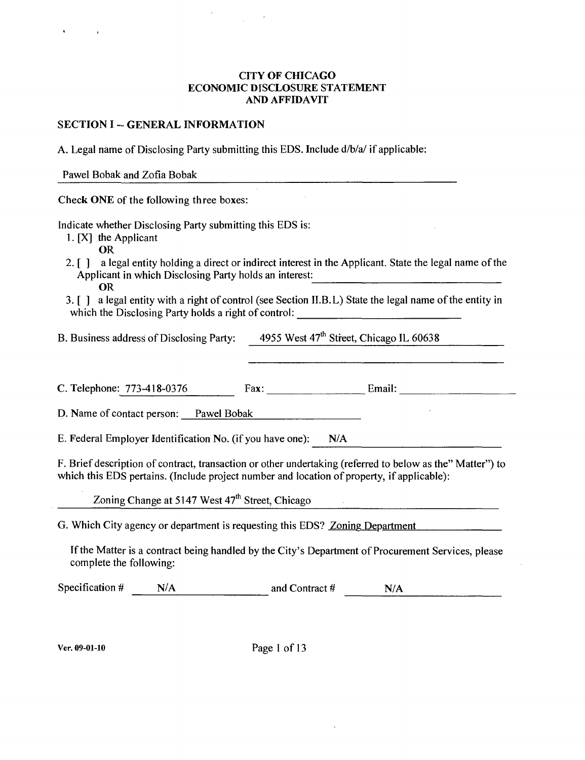## **CITY OF CHICAGO ECONOMIC DISCLOSURE STATEMENT AND AFFIDAVIT**

## **SECTION I -- GENERAL INFORMATION**

A. Legal name of Disclosing Party submitting this EDS. Include d/b/a/ if applicable:

Pawel Bobak and Zofia Bobak

Check ONE of the following three boxes:

Indicate whether Disclosing Party submitting this EDS is:

1. [X] the Applicant

OR

- 2. [ ] a legal entity holding a direct or indirect interest in the Applicant. State the legal name of the Applicant in which Disclosing Party holds an interest: OR
- 3. [ ] a legal entity with a right of control (see Section II.B.L) State the legal name of the entity in which the Disclosing Party holds a right of control:

B. Business address of Disclosing Party: 4955 West 47<sup>th</sup> Street, Chicago IL 60638

C. Telephone: 773-418-0376 Fax: Email: Email: Email:

D. Name of contact person: Pawel Bobak

E. Federal Employer Identification No. (if you have one): N/A

F. Brief description of contract, transaction or other undertaking (referred to below as the" Matter") to which this EDS pertains. (Include project number and location of property, if applicable):

Zoning Change at 5147 West 47<sup>th</sup> Street, Chicago

G. Which City agency or department is requesting this EDS? <u>Zoning Department</u>

If the Matter is a contract being handled by the City's Department of Procurement Services, please complete the following:

Specification  $\#$  N/A and Contract  $\#$  N/A

Ver. 09-01-10 Page 1 of 13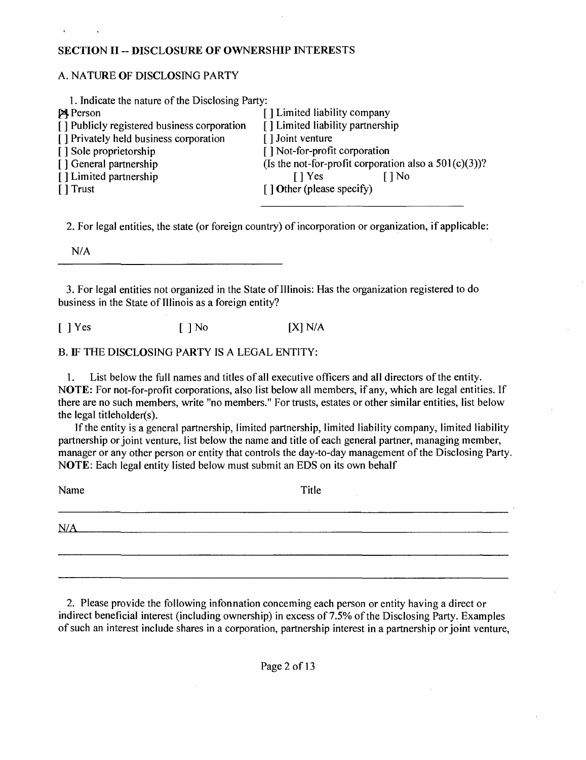## **SECTION II - DISCLOSURE OF OWNERSHIP INTERESTS**

## A. NATURE OF DISCLOSING PARTY

| 1. Indicate the nature of the Disclosing Party: |                                                          |
|-------------------------------------------------|----------------------------------------------------------|
| <b>A</b> Person                                 | [] Limited liability company                             |
| [] Publicly registered business corporation     | [] Limited liability partnership                         |
| [] Privately held business corporation          | [] Joint venture                                         |
| [] Sole proprietorship                          | [] Not-for-profit corporation                            |
| [] General partnership                          | (Is the not-for-profit corporation also a $501(c)(3)$ )? |
| [] Limited partnership                          | [ ] Yes<br>$\bigcap$ No                                  |
| [ ] Trust                                       | [] Other (please specify)                                |
|                                                 |                                                          |

2. For legal entities, the state (or foreign country) of incorporation or organization, if applicable:

N/A

3. For legal entities not organized in the State of Illinois: Has the organization registered to do business in the State of Tllinois as a foreign entity?

 $[ ]$  Yes  $[ ]$  No  $[$   $[$   $]$  No  $[$   $[$   $]$   $]$   $N/A$ 

B. IF THE DISCLOSING PARTY IS A LEGAL ENTITY:

1. List below the full names and titles of all executive officers and all directors ofthe entity. NOTE: For not-for-profit corporations, also list below all members, if any, which are legal entities. If there are no such members, write "no members." For trusts, estates or other similar entities, list below the legal titlehoIder(s).

If the entity is a general partnership, limited partnership, limited liability company, limited liability partnership or joint venture, list below the name and title of each general partner, managing member, manager or any other person or entity that controls the day-to-day management of the Disclosing Party. NOTE: Each legal entity listed below must submit an EDS on its own behalf

| Name |        | Title |  |  |
|------|--------|-------|--|--|
|      | $\sim$ |       |  |  |
| N/A  |        |       |  |  |
|      |        |       |  |  |
|      |        |       |  |  |
|      |        |       |  |  |

2. Please provide the following infonnation conceming each person or entity having a direct or indirect beneficial interest (including ownership) in excess of 7.5% of the Disclosing Party. Examples of such an interest include shares in a corporation, partnership interest in a partnership or joint venture.

Page 2 of 13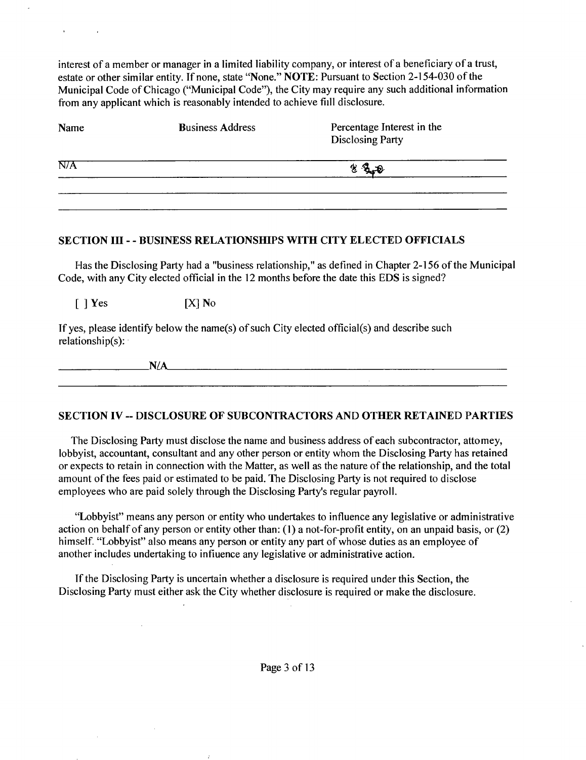interest of a member or manager in a limited liability company, or interest of a beneficiary of a trust, estate or other similar entity. Tf none, state "None." NOTE: Pursuant to Section 2-154-030 of the Municipal Code of Chicago ("Municipal Code"), the City may require any such additional information from any applicant which is reasonably intended to achieve fiill disclosure.

| Name | <b>Business Address</b> | Percentage Interest in the<br><b>Disclosing Party</b> |  |
|------|-------------------------|-------------------------------------------------------|--|
| N/A  | $3 + 0$<br>€            |                                                       |  |
|      |                         |                                                       |  |

#### **SECTION III - - BUSINESS RELATIONSHIPS WITH CITY ELECTED OFFICIALS**

Has the Disclosing Party had a "business relationship," as defined in Chapter 2-156 of the Municipal Code, with any City elected official in the 12 months before the date this EDS is signed?

 $[$  | Yes  $[X]$  No

 $\mathcal{A}$ 

If yes, please identify below the name(s) of such City elected official(s) and describe such relationship(s):

## **SECTION IV - DISCLOSURE OF SUBCONTRACTORS AND OTHER RETAINED PARTIES**

The Disclosing Party must disclose the name and business address of each subcontractor, attomey, lobbyist, accountant, consultant and any other person or entity whom the Disclosing Party has retained or expects to retain in connection with the Matter, as well as the nature of the relationship, and the total amount of the fees paid or estimated to be paid. The Disclosing Party is not required to disclose employees who are paid solely through the Disclosing Party's regular payroll.

"Lobbyist" means any person or entity who undertakes to influence any legislative or administrative action on behalf of any person or entity other than: (1) a not-for-profit entity, on an unpaid basis, or (2) himself. "Lobbyist" also means any person or entity any part of whose duties as an employee of another includes undertaking to infiuence any legislative or administrative action.

Tf the Disclosing Party is uncertain whether a disclosure is required under this Section, the Disclosing Party must either ask the City whether disclosure is required or make the disclosure.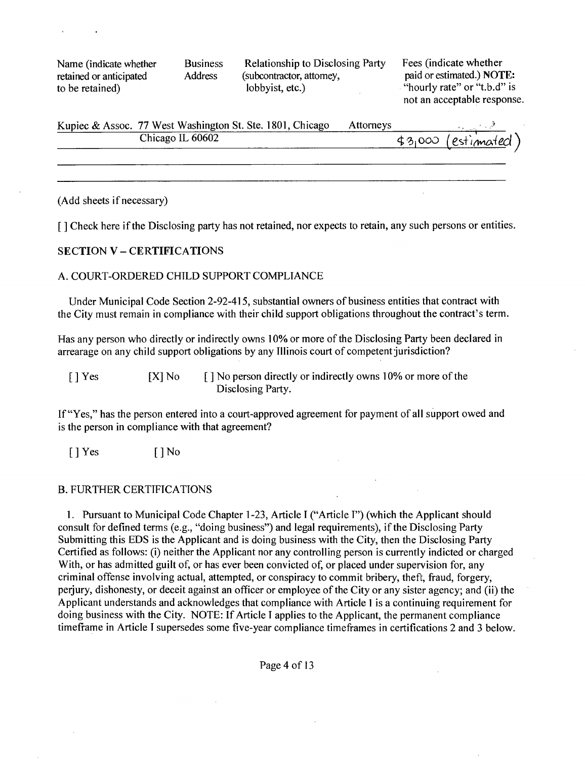Name (indicate whether Business Relationship to Disclosing Party Fees (indicate whether retained or anticipated Address (subcontractor, attorney, paid or estimated.) NOT retained or anticipated Address (subcontractor, attomey, paid or estimated.) NOTE:<br>to be retained) lobbyist, etc.) <br>
<sup>1</sup> lourly rate" or "t.b.d" is to be retained) lobbyist, etc.) "hourly rate" or "t.b.d" is

not an acceptable response.

| Kupiec & Assoc. 77 West Washington St. Ste. 1801, Chicago | Attorneys |                      |
|-----------------------------------------------------------|-----------|----------------------|
| Chicago IL 60602                                          |           | $43,000$ (estimated) |
|                                                           |           |                      |

#### (Add sheets if necessary)

**[ J Check here if the Disclosing party has not retained, nor expects to retain, any such persons or entities.** 

#### **SECTION V - CERTIFICATIONS**

## A. COURT-ORDERED CHILD SUPPORT COMPLIANCE

Under Municipal Code Section 2-92-415, substantial owners of business entities that contract with the City must remain in compliance with their child support obligations throughout the contract's term.

Has any person who directly or indirectly owns 10% or more of the Disclosing Party been declared in arrearage on any child support obligations by any Illinois court of competent jurisdiction?

[ ] Yes [X] No [ ] No person directly or indirectly owns 10% or more of the Disclosing Party.

If "Yes," has the person entered into a court-approved agreement for payment of all support owed and is the person in compliance with that agreement?

 $[$   $]$  Yes  $[$   $]$  No

#### B. FURTHER CERTIFICATIONS

1. Pursuant to Municipal Code Chapter 1 -23, Article I ("Article I") (which the Applicant should consult for defined terms (e.g., "doing business") and legal requirements), if the Disclosing Party Submitting this EDS is the Applicant and is doing business with the City, then the Disclosing Party Certified as follows: (i) neither the Applicant nor any controlling person is currently indicted or charged With, or has admitted guilt of, or has ever been convicted of, or placed under supervision for, any criminal offense involving actual, attempted, or conspiracy to commit bribery, theft, fraud, forgery, perjury, dishonesty, or deceit against an officer or employee of the City or any sister agency; and (ii) the Applicant understands and acknowledges that compliance with Article 1 is a continuing requirement for doing business with the City. NOTE: Tf Article I applies to the Applicant, the permanent compliance timeframe in Article I supersedes some five-year compliance timeframes in certifications 2 and 3 below.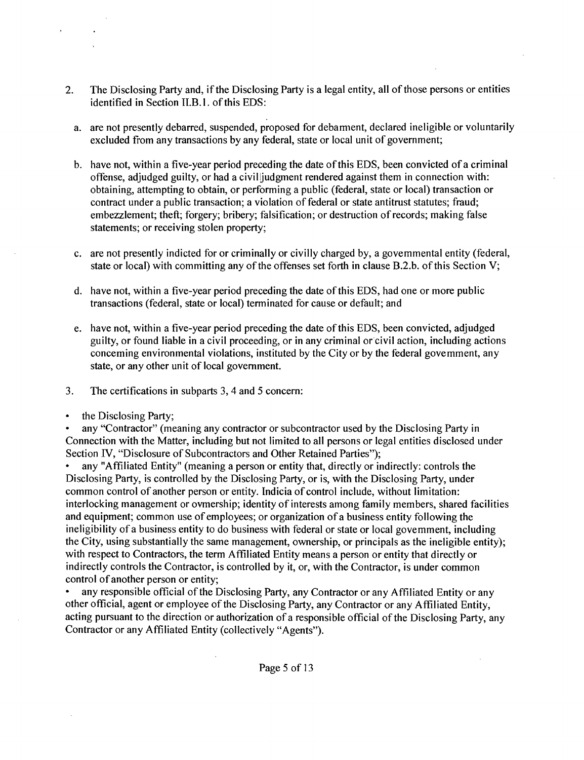- 2. The Disclosing Party and, if the Disclosing Party is a legal entity, all of those persons or entities identified in Section II.B.1. of this EDS:
	- a. are not presently debarred, suspended, proposed for debament, declared ineligible or voluntarily excluded from any transactions by any federal, state or local unit of government;
	- b. have not, within a five-year period preceding the date of this EDS, been convicted of a criminal offense, adjudged guilty, or had a civil judgment rendered against them in connection with: obtaining, attempting to obtain, or performing a public (federal, state or local) transaction or contract under a public transaction; a violation of federal or state antitrust statutes; fraud; embezzlement; theft; forgery; bribery; falsification; or destruction of records; making false statements; or receiving stolen property;
	- c. are not presently indicted for or criminally or civilly charged by, a govemmental entity (federal, state or local) with committing any of the offenses set forth in clause B.2.b. of this Section V;
	- d. have not, within a five-year period preceding the date of this EDS, had one or more public transactions (federal, state or local) terminated for cause or default; and
	- e. have not, within a five-year period preceding the date of this EDS, been convicted, adjudged guilty, or found liable in a civil proceeding, or in any criminal or civil action, including actions conceming environmental violations, instituted by the City or by the federal govemment, any state, or any other unit of local government.
- 3. The certifications in subparts 3, 4 and 5 concern:
- the Disclosing Party;

any "Contractor" (meaning any contractor or subcontractor used by the Disclosing Party in Connection with the Matter, including but not limited to all persons or legal entities disclosed under Section TV, "Disclosure of Subcontractors and Other Retained Parties");

any "Affiliated Entity" (meaning a person or entity that, directly or indirectly: controls the Disclosing Party, is controlled by the Disclosing Party, or is, with the Disclosing Party, under common control of another person or entity. Indicia of control include, without limitation: interlocking management or ovmership; identity of interests among family members, shared facilities and equipment; common use of employees; or organization of a business entity following the ineligibility of a business entity to do business with federal or state or local govemment, including the City, using substantially the same management, ownership, or principals as the ineligible entity); with respect to Contractors, the term Affiliated Entity means a person or entity that directly or indirectly controls the Contractor, is controlled by it, or, with the Contractor, is under common control of another person or entity;

any responsible official of the Disclosing Party, any Contractor or any Affiliated Entity or any other official, agent or employee of the Disclosing Party, any Contractor or any Affiliated Entity, acting pursuant to the direction or authorization of a responsible official of the Disclosing Party, any Contractor or any Affiliated Entity (collectively "Agents").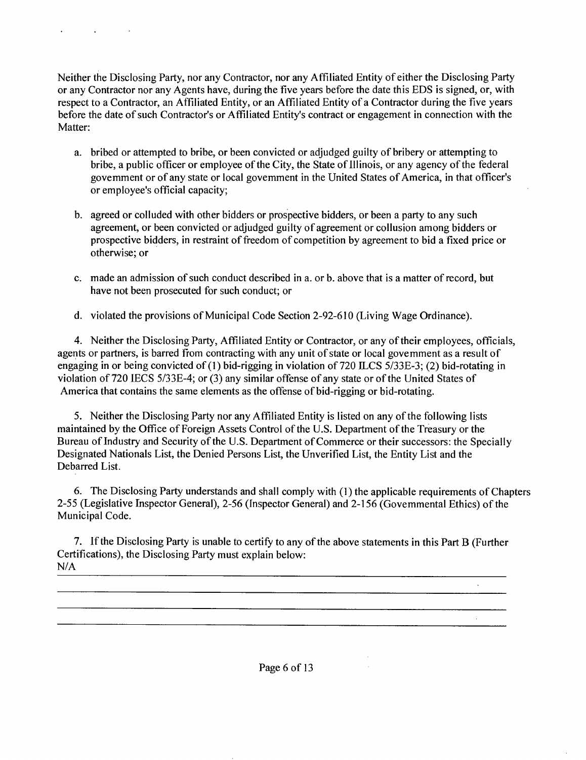Neither the Disclosing Party, nor any Contractor, nor any Affiliated Entity of either the Disclosing Party or any Contractor nor any Agents have, during the five years before the date this EDS is signed, or, with respect to a Contractor, an Affiliated Entity, or an Affiliated Entity of a Contractor during the five years before the date of such Contractor's or Affiliated Entity's contract or engagement in connection with the Matter:

**Contract Contract** 

- a. bribed or attempted to bribe, or been convicted or adjudged guilty of bribery or attempting to bribe, a public officer or employee of the City, the State of Illinois, or any agency of the federal govemment or of any state or local govemment in the United States of America, in that officer's or employee's official capacity;
- b. agreed or colluded with other bidders or prospective bidders, or been a party to any such agreement, or been convicted or adjudged guilty of agreement or collusion among bidders or prospective bidders, in restraint of freedom of competition by agreement to bid a fixed price or otherwise; or
- c. made an admission of such conduct described in a. or b. above that is a matter of record, but have not been prosecuted for such conduct; or
- d. violated the provisions of Municipal Code Section 2-92-610 (Living Wage Ordinance).

4. Neither the Disclosing Party, Affiliated Entity or Contractor, or any of their employees, officials, agents or partners, is barred from contracting with any unit of state or local govemment as a result of engaging in or being convicted of (1) bid-rigging in violation of 720 ILCS 5/33E-3; (2) bid-rotating in violation of 720 IECS 5/33E-4; or (3) any similar offense of any state or of the United States of America that contains the same elements as the offense of bid-rigging or bid-rotating.

5. Neither the Disclosing Party nor any Affiliated Entity is listed on any of the following lists maintained by the Office of Foreign Assets Control of the U.S. Department of the Treasury or the Bureau of Industry and Security of the U.S. Department of Commerce or their successors: the Specially Designated Nationals List, the Denied Persons List, the Unverified List, the Entity List and the Debarred List.

6. The Disclosing Party understands and shall comply with (1) the applicable requirements of Chapters 2-55 (Legislative Inspector General), 2-56 (Inspector General) and 2-156 (Govemmental Ethics) of the Municipal Code.

 $\sim$ 

7. Tf the Disclosing Party is unable to certify to any ofthe above statements in this Part B (Further Certifications), the Disclosing Party must explain below: N/A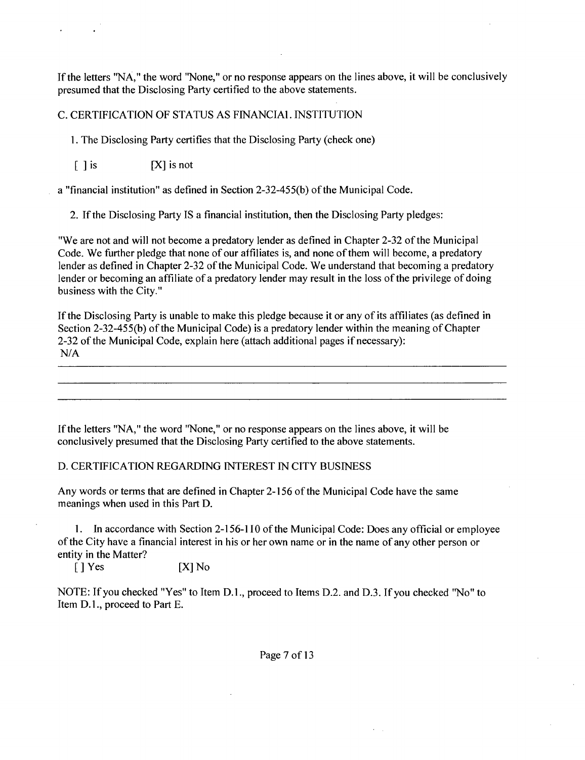If the letters "NA," the word "None," or no response appears on the lines above, it will be conclusively presumed that the Disclosing Party certified to the above statements.

C. CERTIFICATION OF STATUS AS FINANCIAL INSTITUTION

1. The Disclosing Party certifies that the Disclosing Party (check one)

 $\begin{bmatrix} \end{bmatrix}$  is  $\begin{bmatrix} \end{bmatrix}$  is not

a "financial institution" as defined in Section 2-32-455(b) of the Municipal Code.

2. If the Disclosing Party IS a financial institution, then the Disclosing Party pledges:

"We are not and will not become a predatory lender as defined in Chapter 2-32 of the Municipal Code. We further pledge that none of our affiliates is, and none of them will become, a predatory lender as defined in Chapter 2-32 of the Municipal Code. We understand that becoming a predatory lender or becoming an affiliate of a predatory lender may result in the loss of the privilege of doing business with the City."

If the Disclosing Party is unable to make this pledge because it or any of its affiliates (as defined in Section 2-32-455(b) of the Municipal Code) is a predatory lender within the meaning of Chapter 2-32 of the Municipal Code, explain here (attach additional pages if necessary): N/A

If the letters "NA," the word "None," or no response appears on the lines above, it will be conclusively presumed that the Disclosing Party certified to the above statements.

## D. CERTIFICATION REGARDING INTEREST IN CITY BUSINESS

Any words or terms that are defined in Chapter 2-156 of the Municipal Code have the same meanings when used in this Part D.

1. Tn accordance with Section 2-156-1 TO of the Municipal Code: Does any official or employee ofthe City have a financial interest in his or her own name or in the name of any other person or entity in the Matter?

 $[$  ] Yes  $[X]$  No

NOTE: If you checked "Yes" to Item D.L, proceed to Items D.2. and D.3. If you checked "No" to Item D.L, proceed to Part E.

Page 7 of 13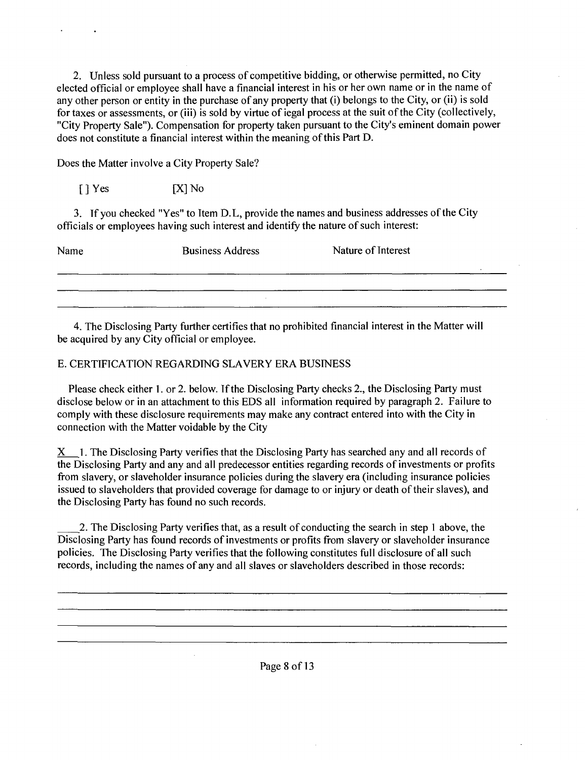2. Unless sold pursuant to a process of competitive bidding, or otherwise permitted, no City elected official or employee shall have a financial interest in his or her own name or in the name of any other person or entity in the purchase of any property that (i) belongs to the City, or (ii) is sold for taxes or assessments, or (iii) is sold by virtue of iegal process at the suit of the City (collectively, "City Property Sale"). Compensation for property taken pursuant to the City's eminent domain power does not constitute a financial interest within the meaning of this Part D.

Does the Matter involve a City Property Sale?

 $[ ]$  Yes  $[ X ]$  No

3. If you checked "Yes" to Item D.L, provide the names and business addresses of the City officials or employees having such interest and identify the nature of such interest:

| Name | <b>Business Address</b> | Nature of Interest |
|------|-------------------------|--------------------|
|      |                         |                    |
|      |                         |                    |
|      |                         |                    |
|      |                         |                    |

4. The Disclosing Party further certifies that no prohibited financial interest in the Matter will be acquired by any City official or employee.

## E. CERTIFICATION REGARDING SLAVERY ERA BUSINESS

Please check either 1. or 2. below. If the Disclosing Party checks 2., the Disclosing Party must disclose below or in an attachment to this EDS all information required by paragraph 2. Failure to comply with these disclosure requirements may make any contract entered into with the City in connection with the Matter voidable by the City

X 1. The Disclosing Party verifies that the Disclosing Party has searched any and all records of the Disclosing Party and any and all predecessor entities regarding records of investments or profits from slavery, or slaveholder insurance policies during the slavery era (including insurance policies issued to slaveholders that provided coverage for damage to or injury or death of their slaves), and the Disclosing Party has found no such records.

2. The Disclosing Party verifies that, as a result of conducting the search in step 1 above, the Disclosing Party has found records of investments or profits from slavery or slaveholder insurance policies. The Disclosing Party verifies that the following constitutes full disclosure of all such records, including the names of any and all slaves or slaveholders described in those records: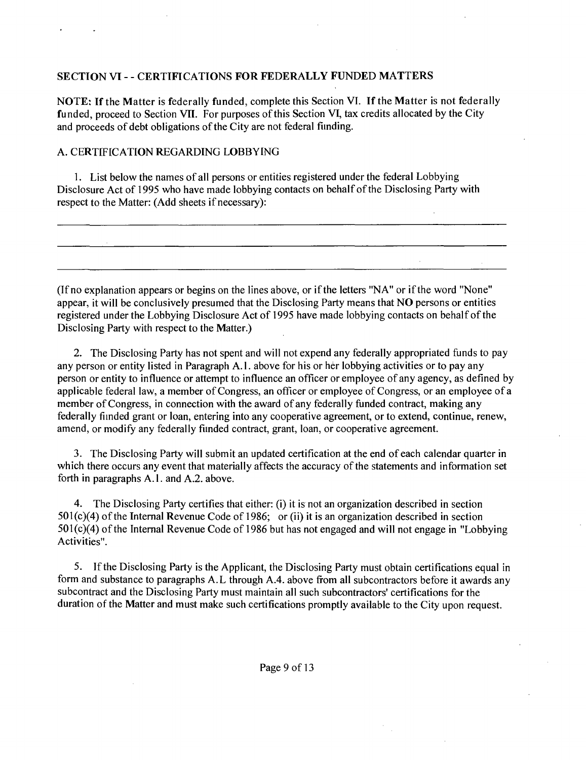## **SECTION VT - - CERTIFICATIONS FOR FEDERALLY FUNDED MATTERS**

NOTE: If the Matter is federally funded, complete this Section VI. If the Matter is not federally funded, proceed to Section VII. For purposes of this Section VI, tax credits allocated by the City and proceeds of debt obligations of the City are not federal fiinding.

## A. CERTIFICATION REGARDING LOBBYING

1. List below the names of all persons or entities registered under the federal Lobbying Disclosure Act of 1995 who have made lobbying contacts on behalf of the Disclosing Party with respect to the Matter: (Add sheets if necessary):

(If no explanation appears or begins on the lines above, or if the letters "NA" or if the word "None" appear, it will be conclusively presumed that the Disclosing Party means that NO persons or entities registered under the Lobbying Disclosure Act of 1995 have made lobbying contacts on behalf of the Disclosing Party with respect to the Matter.)

2. The Disclosing Party has not spent and will not expend any federally appropriated funds to pay any person or entity listed in Paragraph A.l . above for his or her lobbying activities or to pay any person or entity to influence or attempt to influence an officer or employee of any agency, as defined by applicable federal law, a member of Congress, an officer or employee of Congress, or an employee of a member of Congress, in connection with the award of any federally funded contract, making any federally fiinded grant or loan, entering into any cooperative agreement, or to extend, continue, renew, amend, or modify any federally fiinded contract, grant, loan, or cooperative agreement.

3. The Disclosing Party will submit an updated certification at the end of each calendar quarter in which there occurs any event that materially affects the accuracy of the statements and information set forth in paragraphs A.1. and A.2. above.

4. The Disclosing Party certifies that either: (i) it is not an organization described in section  $501(c)(4)$  of the Internal Revenue Code of 1986; or (ii) it is an organization described in section  $501(c)(4)$  of the Internal Revenue Code of 1986 but has not engaged and will not engage in "Lobbying" Activities".

5. If the Disclosing Party is the Applicant, the Disclosing Party must obtain certifications equal in form and substance to paragraphs A.L through A.4. above from all subcontractors before it awards any subcontract and the Disclosing Party must maintain all such subcontractors' certifications for the duration of the Matter and must make such certifications promptly available to the City upon request.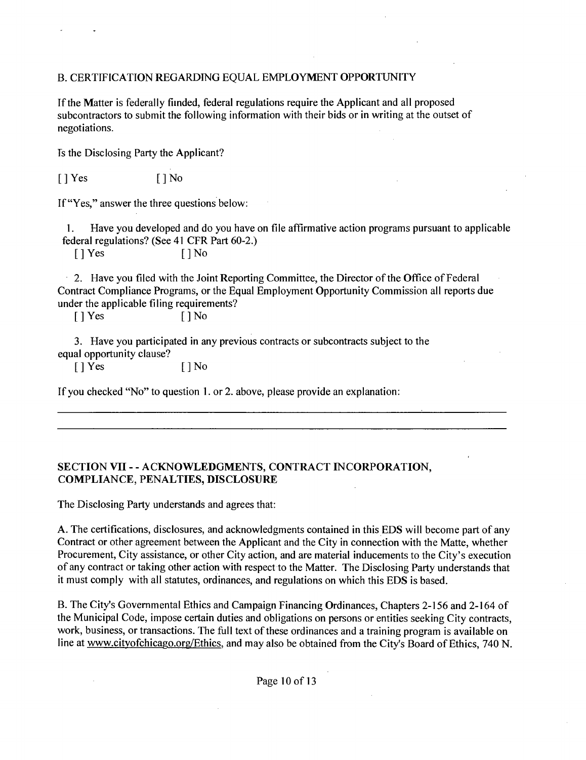## B. CERTIFICATION REGARDING EQUAL EMPLOYMENT OPPORTUNITY

If the Matter is federally fiinded, federal regulations require the Applicant and all proposed subcontractors to submit the following information with their bids or in writing at the outset of negotiations.

Ts the Disclosing Party the Applicant?

[ ] Yes [ ] No

If "Yes," answer the three questions below:

1. Have you developed and do you have on file affirmative action programs pursuant to applicable federal regulations? (See 41 CFR Part 60-2.)

[ ] Yes [ ] No

2. Have you filed with the Joint Reporting Committee, the Director of the Office of Federal Contract Compliance Programs, or the Equal Employment Opportunity Commission all reports due under the applicable filing requirements?

 $[ ]$  Yes  $[ ]$  No

3. Have you participated in any previous contracts or subcontracts subject to the equal opportunity clause?

 $[$  | Yes  $[$  | No

If you checked "No" to question 1. or 2. above, please provide an explanation:

## **SECTION VII - - ACKNOWLEDGMENTS, CONTRACT INCORPORATION, COMPLIANCE, PENALTIES, DISCLOSURE**

The Disclosing Party understands and agrees that:

A. The certifications, disclosures, and acknowledgments contained in this EDS will become part of any Contract or other agreement between the Applicant and the City in connection with the Matte, whether Procurement, City assistance, or other City action, and are material inducements to the City's execution of any contract or taking other action with respect to the Matter. The Disclosing Party understands that it must comply with all statutes, ordinances, and regulations on which this EDS is based.

B. The City's Govemmental Ethics and Campaign Financing Ordinances, Chapters 2-156 and 2-164 of the Municipal Code, impose certain duties and obligations on persons or entities seeking City contracts, work, business, or transactions. The full text of these ordinances and a training program is available on line at www.cityofchicago.org/Ethics, and may also be obtained from the City's Board of Ethics, 740 N.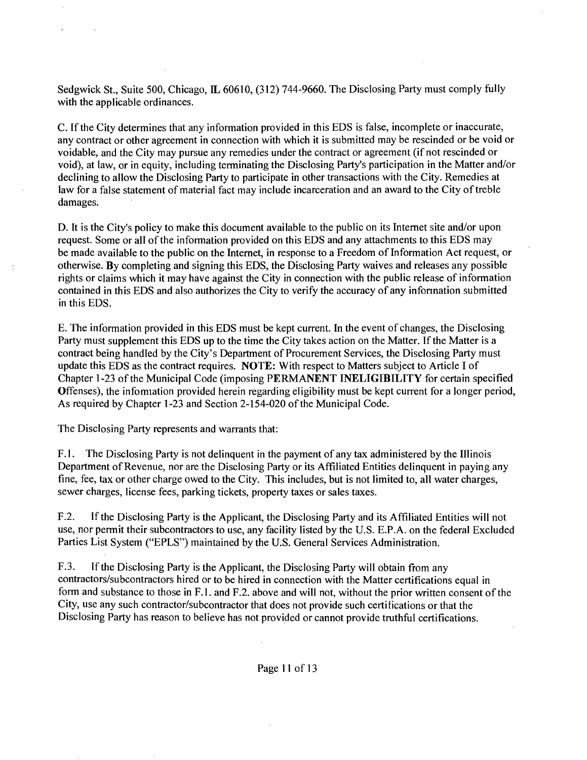Sedgwick St., Suite 500, Chicago, IL 60610, (312) 744-9660. The Disclosing Party must comply fully with the applicable ordinances.

C. If the City determines that any information provided in this EDS is false, incomplete or inaccurate, any contract or other agreement in connection with which it is submitted may be rescinded or be void or voidable, and the City may pursue any remedies under the contract or agreement (if not rescinded or void), at law, or in equity, including terminating the Disclosing Party's participation in the Matter and/or declining to allow the Disclosing Party to participate in other transactions with the City. Remedies at law for a false statement of material fact may include incarceration and an award to the City of treble damages.

D. It is the City's policy to make this document available to the public on its Internet site and/or upon request. Some or all of the information provided on this EDS and any attachments to this EDS may be made available to the public on the Internet, in response to a Freedom of Information Act request, or otherwise. By completing and signing this EDS, the Disclosing Party waives and releases any possible rights or claims which it may have against the City in connection with the public release of information contained in this EDS and also authorizes the City to verify the accuracy of any infonnation submitted in this EDS.

E. The information provided in this EDS must be kept current. In the event of changes, the Disclosing Party must supplement this EDS up to the time the City takes action on the Matter. If the Matter is a contract being handled by the City's Department of Procurement Services, the Disclosing Party must update this EDS as the contract requires. NOTE: With respect to Matters subject to Article I of Chapter 1-23 of the Municipal Code (imposing PERMANENT INELIGIBILITY for certain specified Offenses), the infomiation provided herein regarding eligibility must be kept current for a longer period, As required by Chapter 1-23 and Section 2-154-020 of the Municipal Code.

The Disclosing Party represents and warrants that:

F.1. The Disclosing Party is not delinquent in the payment of any tax administered by the Illinois Department of Revenue, nor are the Disclosing Party or its Affiliated Entities delinquent in paying any fine, fee, tax or other charge owed to the City. This includes, but is not limited to, all water charges, sewer charges, license fees, parking tickets, property taxes or sales taxes.

F.2. If the Disclosing Party is the Applicant, the Disclosing Party and its Affiliated Entities will not use, nor permit their subcontractors to use, any facility listed by the U.S. E.P.A. on the federal Excluded Parties List System ("EPLS") maintained by the U.S. General Services Administration.

F.3. If the Disclosing Party is the Applicant, the Disclosing Party will obtain from any contractors/subcontractors hired or to be hired in connection with the Matter certifications equal in form and substance to those in F.l. and F.2. above and will not, without the prior written consent of the City, use any such contractor/subcontractor that does not provide such certifications or that the Disclosing Party has reason to believe has not provided or cannot provide truthful certifications.

Page 11 of 13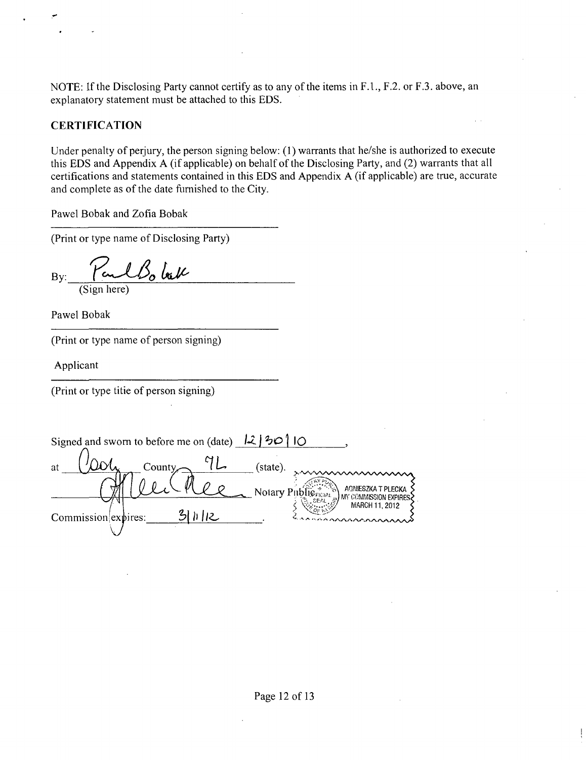NOTE: If the Disclosing Party cannot certify as to any of the items in F.1., F.2. or F.3. above, an explanatory statement must be attached to this EDS.

## **CERTIFICATION**

Under penalty of perjury, the person signing below: (1) warrants that he/she is authorized to execute this EDS and Appendix A (if applicable) on behalf of the Disclosing Party, and (2) warrants that all certifications and statements contained in this EDS and Appendix A (if applicable) are true, accurate and complete as of the date furnished to the City.

Pawel Bobak and Zofia Bobak

(Print or type name of Disclosing Party)

Bo bak By: (Sign here)

Pawel Bobak

(Print or type name of person signing)

Applicant

(Print or type titie of person signing)

Signed and sworn to before me on (date)  $\left|2\right/\frac{1}{2}\Theta$   $\left|$  10 (state). at County Notary Pitblic right Notary Pitblic (Notary Pitcher Contraction Expire **INV COMMISSION EXPIRES** MARCH 11, 2012  $31112$ Commission expires: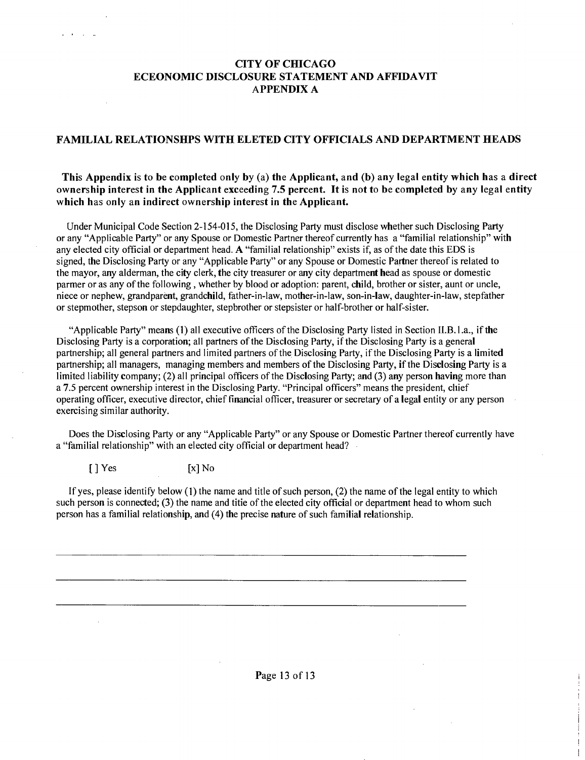## **CITY OF CHICAGO ECEONOMIC DISCLOSURE STATEMENT AND AFFIDAVIT APPENDIX A**

#### **FAMILIAL RELATIONSHPS WITH ELETED CITY OFFICIALS AND DEPARTMENT HEADS**

### **This Appendix is to be completed only by (a) the Applicant, and (b) any legal entity which has a direct ownership interest in the Applicant exceeding 7.5 percent. It is not to be completed by any legal entity which has only an indirect ownership interest in the Applicant.**

Under Municipal Code Section 2-154-015, the Disclosing Party must disclose whether such Disclosing Party or any "Applicable Party" or any Spouse or Domestic Partner thereof currently has a "familial relationship" with any elected city official or department head. A "familial relationship" exists if, as of the date this EDS is signed, the Disclosing Party or any "Applicable Party" or any Spouse or Domestic Partner thereof is related to the mayor, any alderman, the city clerk, the city treasurer or any city department head as spouse or domestic parmer or as any of the following , whether by blood or adoption: parent, child, brother or sister, aunt or uncle, niece or nephew, grandparent, grandchild, father-in-law, mother-in-law, son-in-law, daughter-in-law, stepfather or stepmother, stepson or stepdaughter, stepbrother or stepsister or half-brother or half-sister.

"Applicable Party" means (1) all executive officers of the Disclosing Party listed in Section ILB.l.a., if the Disclosing Party is a corporation; all partners of the Disclosing Party, if the Disclosing Party is a general partnership; all general partners and limited partners of the Disclosing Party, if the Disclosing Party is a limited partnership; all managers, managing members and members of the Disclosing Party, if the Disclosing Party is a limited liability company; (2) all principal officers of the Disclosing Party; and (3) any person having more than a 7.5 percent ownership interest in the Disclosing Party. "Principal officers" means the president, cliief operating officer, executive director, chief financial officer, treasurer or secretary of a legal entity or any person exercising similar authority.

Does the Disclosing Party or any "Applicable Party" or any Spouse or Domestic Partner thereof currently have a "familial relationship" with an elected city official or department head?

 $\begin{bmatrix} \end{bmatrix}$  Yes  $\begin{bmatrix} x \end{bmatrix}$  No

 $\sim 10^{-1}$ 

If yes, please identify below (1) the name and title of such person, (2) the name of the legal entity to which such person is connected; (3) the name and titie of the elected city official or department head to whom such person has a familial relationship, and (4) the precise nature of such familial relationship.

Page 13 of 13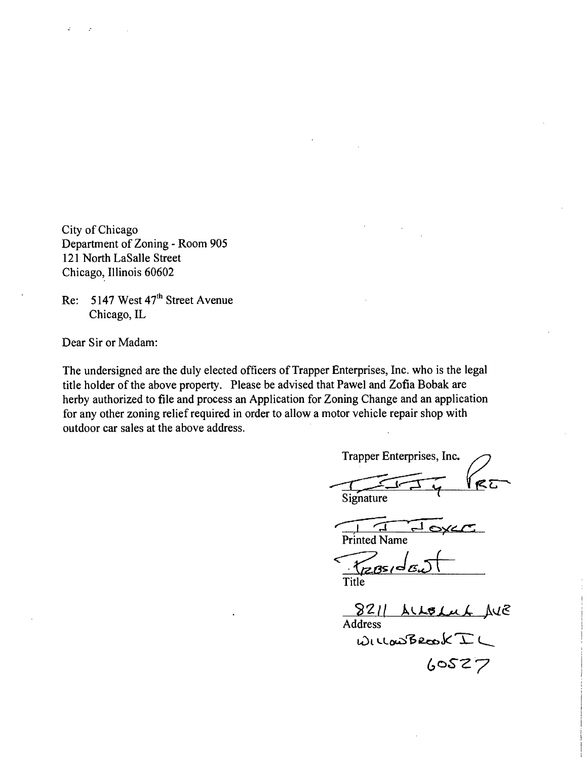City of Chicago Department of Zoning - Room 905 121 North LaSalle Street Chicago, Illinois 60602

Re: 5147 West 47<sup>th</sup> Street Avenue Chicago, IL

Dear Sir or Madam:

The undersigned are the duly elected officers of Trapper Enterprises, Inc. who is the legal title holder of the above property. Please be advised that Pawel and Zofia Bobak are herby authorized to file and process an Application for Zoning Change and an application for any other zoning relief required in order to allow a motor vehicle repair shop with outdoor car sales at the above address.

Trapper Enterprises, Inc. **Signature** 囗 Printed Name Title ALLOLUL AVE  $8211$ 

Address<br>WILLOWBROOK IL  $60527$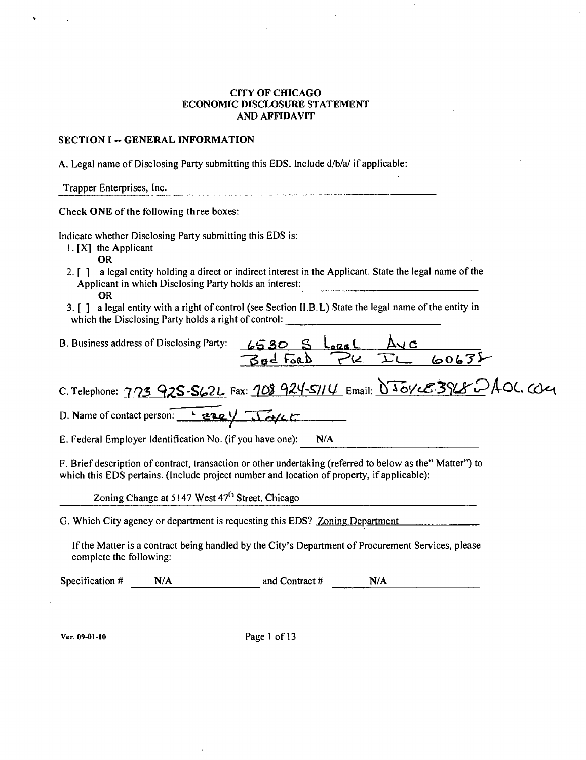#### CITY OF CHICAGO ECONOMIC DISCLOSURE STATEMENT AND AFFIDAVIT

#### SECTION I -- GENERAL INFORMATION

A. Legal name of Disclosing Party submitting this EDS. Include d/b/a/ if applicable:

Trapper Enterprises, Inc.

Check ONE of the following three boxes:

Indicate whether Disclosing Party submitting this EDS is:

- 1. [XJ the Applicant
- **OR**
- 2. [ ] a legal entity holding a direct or indirect interest in the Applicant. State the legal name of the Applicant in which Disclosing Party holds an interest: OR
- 3. [ ] a legal entity with a right of control (see Section II.B.L) State the legal name of the entity in which the Disclosing Party holds a right of control:

| $6530$ S Loral<br>B. Business address of Disclosing Party:<br>Av c<br>$PLTL$ 60632<br>Bad Ford T                                                                                                        |  |
|---------------------------------------------------------------------------------------------------------------------------------------------------------------------------------------------------------|--|
| C. Telephone: 773 925-562L Fax: 108 924-5114 Email: 0501 CB3968 DAOL. CO21                                                                                                                              |  |
| D. Name of contact person: <u>Laze</u> $\sqrt{36}/c$                                                                                                                                                    |  |
| E. Federal Employer Identification No. (if you have one):<br>N/A                                                                                                                                        |  |
| F. Brief description of contract, transaction or other undertaking (referred to below as the" Matter") to<br>which this EDS pertains. (Include project number and location of property, if applicable): |  |

Zoning Change at 5147 West  $47<sup>th</sup>$  Street, Chicago

G. Which City agency or department is requesting this EDS? Zoning Department

If the Matter is a contract being handled by the City's Department of Procurement Services, please complete the following:

Specification  $\#$  N/A and Contract  $\#$  N/A

Vcr. 09-01-I0 Page 1 of 13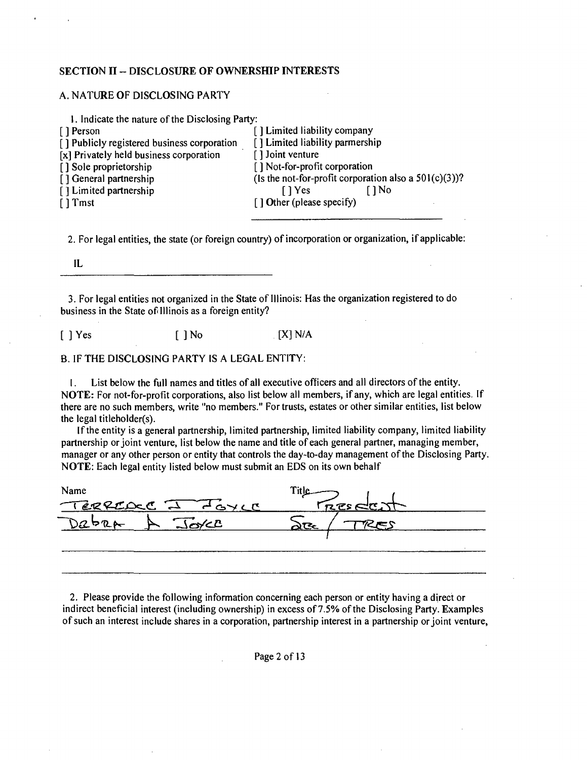#### **SECTION II - DISCLOSURE OF OWNERSHIP INTERESTS**

#### A. NATURE OF DISCLOSING PARTY

| 1. Indicate the nature of the Disclosing Party: |                                                          |
|-------------------------------------------------|----------------------------------------------------------|
| [ ] Person                                      | [] Limited liability company                             |
| [] Publicly registered business corporation     | [] Limited liability parmership                          |
| $[x]$ Privately held business corporation       | [] Joint venture                                         |
| [] Sole proprietorship                          | [] Not-for-profit corporation                            |
| [] General partnership                          | (Is the not-for-profit corporation also a $501(c)(3)$ )? |
| [] Limited partnership                          | f 1 No<br>$\lceil$   Yes                                 |
| $\lceil$ Tmst                                   | $\lceil$ 1 Other (please specify)                        |
|                                                 |                                                          |
|                                                 |                                                          |

2. For legal entities, the state (or foreign country) of incorporation or organization, if applicable:

IL

3. For legal entities not organized in the State of Illinois: Has the organization registered to do business in the State of Illinois as a foreign entity?

 $[ ]$  Yes  $[ ]$  No  $[$   $[$   $]$  N/A

B. IF THE DISCLOSING PARTY IS A LEGAL ENTITY:

I. List below the full names and titles of all executive officers and all directors ofthe entity. NOTE: For not-for-profit corporations, also list below all members, if any, which are legal entities. If there are no such members, write "no members." For trusts, estates or other similar entities, list below the legal titleholder(s).

If the entity is a general partnership, limited partnership, limited liability company, limited liability partnership or joint venture, list below the name and title of each general partner, managing member, manager or any other person or entity that controls the day-to-day management of the Disclosing Party. NOTE: Each legal entity listed below must submit an EDS on its own behalf

| Name                     |          |  |
|--------------------------|----------|--|
| TERREDUCE I FOYLE        | reselent |  |
| $\sqrt{50/2}$<br>$Dz$ pr |          |  |
|                          |          |  |
|                          |          |  |

2. Please provide the following information concerning each person or entity having a direct or indirect beneficial interest (including ownership) in excess of 7.5% of the Disclosing Party. Examples of such an interest include shares in a corporation, partnership interest in a partnership or joint venture,

Page 2 of 13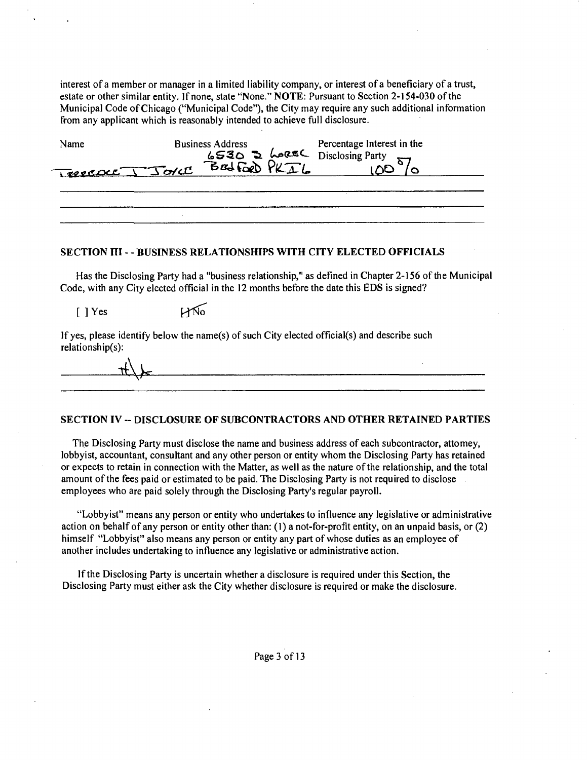interest of a member or manager in a limited liability company, or interest of a beneficiary of a trust, estate or other similar entity. If none, state "None." NOTE: Pursuant to Section 2-154-030 ofthe Municipal Code ofChicago ("Municipal Code"), the City may require any such additional information from any applicant which is reasonably intended to achieve full disclosure.

| Name            | <b>Business Address</b> | Percentage Interest in the                        |  |
|-----------------|-------------------------|---------------------------------------------------|--|
| PRESOUL J JOYCE |                         | 6530 D LOREL Disclosing Party<br>BELFORD PKIL 100 |  |
|                 |                         |                                                   |  |

#### **SECTION ni - - BUSINESS RELATIONSHIPS WITH CTFY ELECTED OFFICIALS**

Has the Disclosing Party had a "business relationship," as defined in Chapter 2-156 ofthe Municipal Code, with any City elected official in the 12 months before the date this EDS is signed?

 $LMo$ [ ] Yes

If yes, please identify below the name(s) of such City elected official(s) and describe such relationship(s):

#### **SECTION IV -- DISCLOSURE OF SUBCONTRACTORS AND OTHER RETAINED PARTIES**

The Disclosing Party must disclose the name and business address of each subcontractor, attomey, lobbyist, accountant, consultant and any other person or entity whom the Disclosing Party has retained or expects to retain in connection with the Matter, as well as the nature of the relationship, and the total amount of the fees paid or estimated to be paid. The Disclosing Party is not required to disclose . employees who are paid solely through the Disclosing Party's regular payroll.

"Lobbyist" means any person or entity who undertakes to influence any legislative or administrative action on behalf of any person or entity other than: (1) a not-for-profit entity, on an unpaid basis, or (2) himself "Lobbyist" also means any person or entity any part of whose duties as an employee of another includes undertaking to influence any legislative or administrative action.

If the Disclosing Party is uncertain whether a disclosure is required under this Section, the Disclosing Party must either ask the City whether disclosure is required or make the disclosure.

#### Page 3 of 13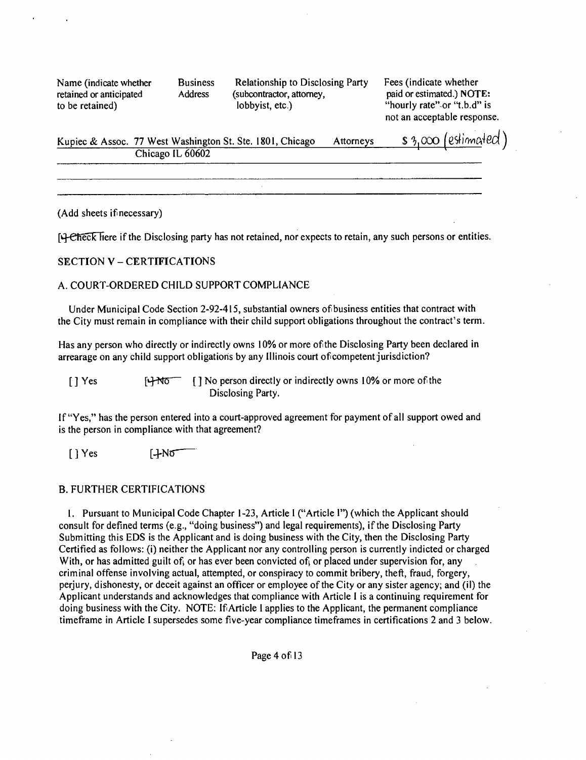retained or anticipated to be retained)

Name (indicate whether Business Relationship to Disclosing Party Fees (indicate whether retained or anticipated Address (subcontractor, attorney, paid or estimated.) NOT (subcontractor, attorney, lobbyist, etc.)

paid or estimated.) NOTE: "hourly rate"~or "t.b.d" is not an acceptable response.

| Kupiec & Assoc. 77 West Washington St. Ste. 1801, Chicago | Attorneys | $\frac{1}{2}$ s 3,000 (estimated) |
|-----------------------------------------------------------|-----------|-----------------------------------|
| Chicago IL 60602                                          |           |                                   |

(Add sheets if necessary)

[4-Check liere if the Disclosing party has not retained, nor expects to retain, any such persons or entities.

## **SECTION V - CERTIFICATIONS**

#### A. COURT-ORDERED CHILD SUPPORT COMPLIANCE

Under Municipal Code Section 2-92-415, substantial owners of business entities that contract with the City must remain in compliance with their child support obligations throughout the contract's term.

Has any person who directly or indirectly owns 10% or more of the Disclosing Party been declared in arrearage on any child support obligations by any Illinois court of competent jurisdiction?

 $[]$  Yes  $]$   $[]$  No person directly or indirectly owns 10% or more of the Disclosing Party.

If "Yes," has the person entered into a court-approved agreement for payment of all support owed and is the person in compliance with that agreement?

[JYes [+N0

#### B. FURTHER CERTIFICATIONS

1. Pursuant to Municipal Code Chapter 1-23, Article 1 ("Article 1") (which the Applicant should consult for defined terms (e.g., "doing business") and legal requirements), if the Disclosing Party Submitting this EDS is the Applicant and is doing business with the City, then the Disclosing Party Certified as follows: (i) neither the Applicant nor any controlling person is currently indicted or charged With, or has admitted guilt of, or has ever been convicted of, or placed under supervision for, any criminal offense involving actual, attempted, or conspiracy to commit bribery, theft, fraud, forgery, perjury, dishonesty, or deceit against an officer or employee of the City or any sister agency; and (il) the Applicant understands and acknowledges that compliance with Article I is a continuing requirement for doing business with the City. NOTE: If Article 1 applies to the Applicant, the permanent compliance timeframe in Article I supersedes some five-year compliance timeframes in certifications 2 and 3 below.

Page 4 of 13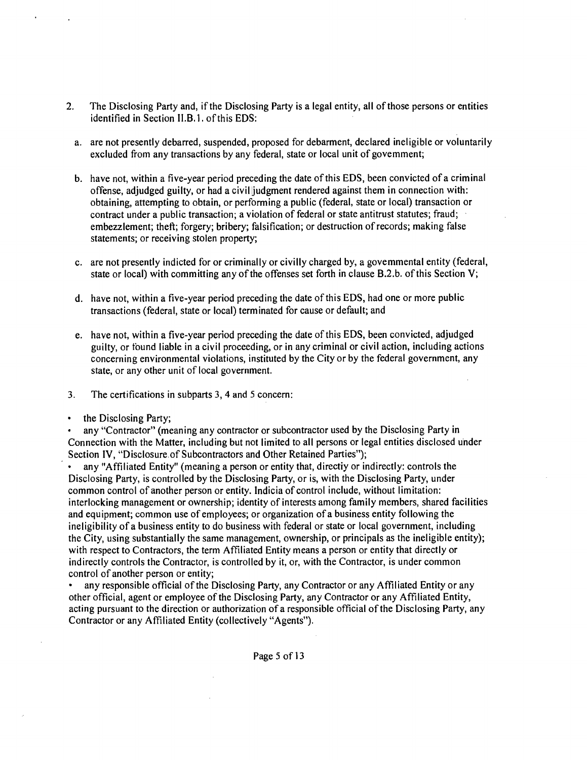- 2. The Disclosing Party and, if the Disclosing Party is a legal entity, all of those persons or entities identified in Section II.B, 1. of this EDS:
	- a. are not presently debarred, suspended, proposed for debarment, declared ineligible or voluntarily excluded from any transactions by any federal, state or local unit of govemment;
	- b. have not, within a five-year period preceding the date of this EDS, been convicted of a criminal offense, adjudged guilty, or had a civil judgment rendered against them in connection with: obtaining, attempting to obtain, or performing a public (federal, state or local) transaction or contract under a public transaction; a violation of federal or state antitrust statutes; fraud; embezzlement; theft; forgery; bribery; falsification; or destruction of records; making false statements; or receiving stolen property;
	- c. are not presently indicted for or criminally or civilly charged by, a govemmental entity (federal, state or local) with committing any of the offenses set forth in clause  $B.2.b$ . of this Section V;
	- d. have not, within a five-year period preceding the date ofthis EDS, had one or more public transactions (federal, state or local) terminated for cause or default; and
	- e. have not, within a five-year period preceding the date of this EDS, been convicted, adjudged guilty, or found liable in a civil proceeding, or in any criminal or civil action, including actions concerning environmental violations, instituted by the City or by the federal government, any state, or any other unit of local government.
- 3. The certifications in subparts 3, 4 and 5 concern:
- the Disclosing Party;

any "Contractor" (meaning any contractor or subcontractor used by the Disclosing Party in Connection with the Matter, including but not limited to all persons or legal entities disclosed under Section IV, "Disclosure of Subcontractors and Other Retained Parties");

• any "Affiliated Entity" (meaning a person or entity that, directiy or indirectly: controls the Disclosing Party, is controlled by the Disclosing Party, or is, with the Disclosing Party, under common control of another person or entity. Indicia of control include, without limitation: interlocking management or ownership; identity of interests among family members, shared facilities and equipment; common use of employees; or organization of a business entity following the ineligibility of a business entity to do business with federal or state or local government, including the City, using substantially the same management, ownership, or principals as the ineligible entity); with respect to Contractors, the term Affiliated Entity means a person or entity that directly or indirectly controls the Contractor, is controlled by it, or, with the Contractor, is under common control of another person or entity;

• any responsible official ofthe Disclosing Party, any Contractor or any Affiliated Entity or any other official, agent or employee ofthe Disclosing Party, any Contractor or any Affiliated Entity, acting pursuant to the direction or authorization of a responsible official of the Disclosing Party, any Contractor or any Affiliated Entity (collectively "Agents").

Page 5 of 13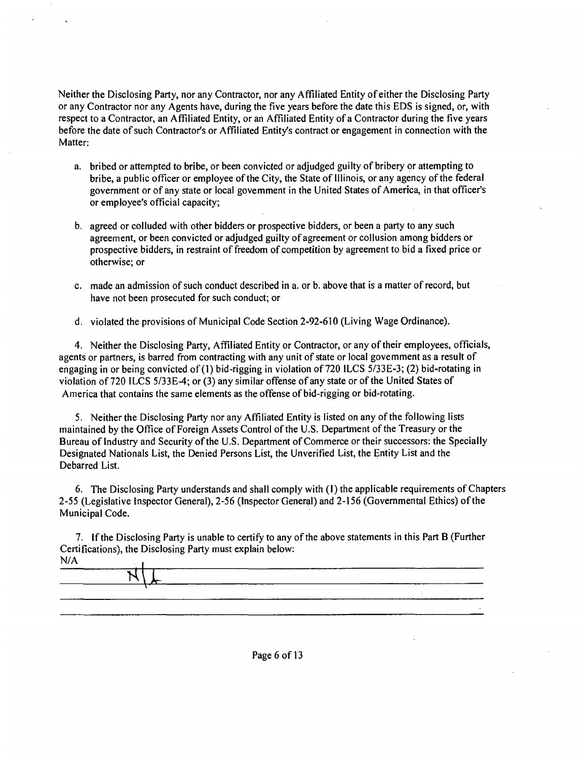Neither the Disclosing Party, nor any Contractor, nor any Affiliated Entity of either the Disclosing Party or any Contractor nor any Agents have, during the five years before the date this EDS is signed, or, with respect to a Contractor, an Affiliated Entity, or an Affiliated Entity of a Contractor during the five years before the date of such Contractor's or Affiliated Entity's contract or engagement in connection with the Matter:

- a. bribed or attempted to bribe, or been convicted or adjudged guilty of bribery or attempting to bribe, a public officer or employee of the City, the State of Illinois, or any agency of the federal government or of any state or local govemment in the United States of America, in that officer's or employee's official capacity;
- b. agreed or colluded with other bidders or prospective bidders, or been a party to any such agreement, or been convicted or adjudged guilty of agreement or collusion among bidders or prospective bidders, in restraint of freedom of competition by agreement to bid a fixed price or otherwise; or
- c. made an admission of such conduct described in a. or b. above that is a matter of record, but have not been prosecuted for such conduct; or
- d. violated the provisions of Municipal Code Section 2-92-610 (Living Wage Ordinance).

4. Neither the Disclosing Party, Affiliated Entity or Contractor, or any of their employees, officials, agents or partners, is barred from contracting with any unit of state or local govemment as a result of engaging in or being convicted of (1) bid-rigging in violation of 720 ILCS 5/33E-3; (2) bid-rotating in violation of 720 ILCS 5/33E-4; or (3) any similar offense of any state or of the United States of America that contains the same elements as the offense of bid-rigging or bid-rotating.

5. Neither the Disclosing Party nor any Affiliated Entity is listed on any of the following lists maintained by the Office of Foreign Assets Control of the U.S. Department of the Treasury or the Bureau of Industry and Security of the U.S. Department of Commerce or their successors: the Specially Designated Nationals List, the Denied Persons List, the Unverified List, the Entity List and the Debarred List.

6. The Disclosing Party understands and shall comply with (I) the applicable requirements of Chapters 2-55 (Legislative Inspector General), 2-56 (Inspector General) and 2-156 (Governmental Ethics) ofthe Municipal Code.

7. If the Disclosing Party is unable to certify to any of the above statements in this Part B (Further Certifications), the Disclosing Party must explain below: N/A

| . |  |  |  |  |
|---|--|--|--|--|
|   |  |  |  |  |
|   |  |  |  |  |
|   |  |  |  |  |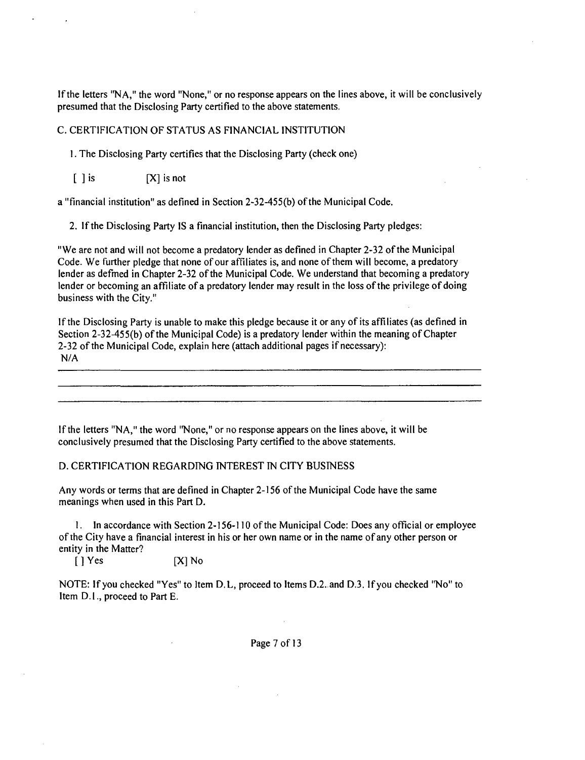If the letters "NA," the word "None," or no response appears on the lines above, it will be conclusively presumed that the Disclosing Party certified to the above statements.

#### C. CERTIFICATION OF STATUS AS FINANCIAL INSTITUTION

1. The Disclosing Party certifies that the Disclosing Party (check one)

 $[ ]$  is  $[X]$  is not

a "financial institution" as defined in Section 2-32-455(b) ofthe Municipal Code.

2. If the Disclosing Party IS a financial institution, then the Disclosing Party pledges:

"We are not and will not become a predatory lender as defined in Chapter 2-32 of the Municipal Code. We further pledge that none of our affiliates is, and none of them will become, a predatory lender as defmed in Chapter 2-32 of the Municipal Code. We understand that becoming a predatory lender or becoming an affiliate of a predatory lender may result in the loss ofthe privilege of doing business with the City."

If the Disclosing Party is unable to make this pledge because it or any of its affiliates (as defined in Section 2-32-455(b) of the Municipal Code) is a predatory lender within the meaning of Chapter 2-32 of the Municipal Code, explain here (attach additional pages if necessary): N/A

If the letters "NA," the word "None," or no response appears on the lines above, it will be conclusively presumed that the Disclosing Party certified to the above statements.

#### D. CERTIFICATION REGARDING INTEREST IN CITY BUSINESS

Any words or terms that are defined in Chapter 2-156 ofthe Municipal Code have the same meanings when used in this Part D.

1. In accordance with Section 2-156-110 ofthe Municipal Code: Does any official or employee ofthe City have a financial interest in his or her own name or in the name of any other person or entity in the Matter?

[ 1 Yes [XJ No

NOTE: If you checked "Yes" to Item D.L, proceed to Items D.2. and D.3. If you checked "No" to Item D.l., proceed to Part E.

Page 7 of 13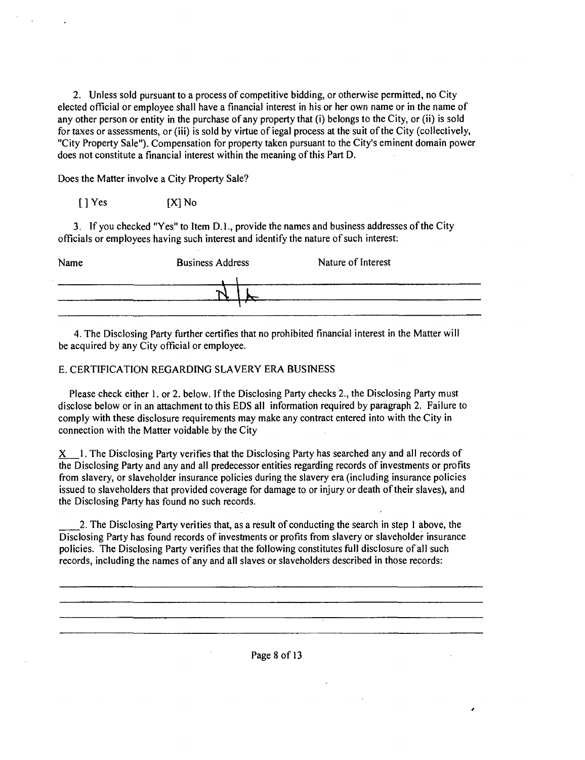2. Unless sold pursuant to a process of competitive bidding, or otherwise permitted, no City elected official or employee shall have a financial interest in his or her own name or in the name of any other person or entity in the purchase of any property that (i) belongs to the City, or (ii) is sold for taxes or assessments, or (iii) is sold by virtue of iegal process at the suit of the City (collectively, "City Property Sale"). Compensation for property taken pursuant to the City's eminent domain power does not constitute a financial interest within the meaning of this Part D.

Does the Matter involve a City Property Sale?

[ J Yes [X] No

3. If you checked "Yes" to Item D. 1., provide the names and business addresses of the City officials or employees having such interest and identify the nature of such interest;

| Name | <b>Business Address</b> | Nature of Interest |
|------|-------------------------|--------------------|
|      |                         |                    |

4. The Disclosing Party further certifies that no prohibited financial interest in the Matter will be acquired by any City official or employee.

## E. CERTIFICATION REGARDING SLAVERY ERA BUSINESS

Please check either 1. or 2. below. If the Disclosing Party checks 2., the Disclosing Party must disclose below or in an attachment to this EDS all information required by paragraph 2. Failure to comply with these disclosure requirements may make any contract entered into with the City in connection with the Matter voidable by the City

 $X$  1. The Disclosing Party verifies that the Disclosing Party has searched any and all records of the Disclosing Party and any and all predecessor entities regarding records of investments or profits from slavery, or slaveholder insurance policies during the slavery era (including insurance policies issued to slaveholders that provided coverage for damage to or injury or death of their slaves), and the Disclosing Party has found no such records.

2. The Disclosing Party verities that, as a result of conducting the search in step 1 above, the Disclosing Party has found records of investments or profits from slavery or slaveholder insurance policies. The Disclosing Party verifies that the following constitutes full disclosure of all such records, including the names of any and all slaves or slaveholders described in those records: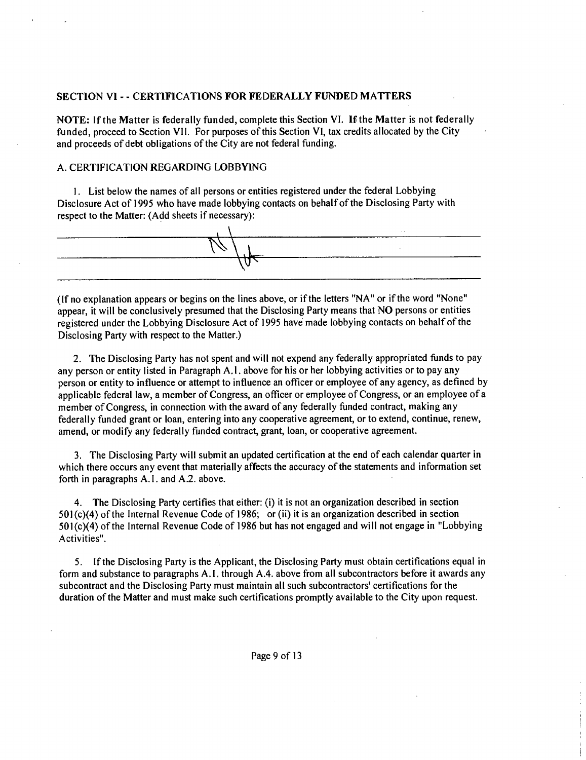#### **SECTION VI - - CERTIFICATIONS FOR FEDERALLY FUNDED MATTERS**

NOTE: If the Matter is federally funded, complete this Section VI. If the Matter is not federally funded, proceed to Section VII. For purposes of this Section VI, tax credits allocated by the City and proceeds of debt obligations of the City are not federal funding.

#### A. CERTIFICATION REGARDING LOBBYING

1. List below the names of all persons or entities registered under the federal Lobbying Disclosure Act of 1995 who have made lobbying contacts on behalf of the Disclosing Party with respect to the Matter: (Add sheets if necessary):



(Ifno explanation appears or begins on the lines above, or if the letters "NA" or if the word "None" appear, it will be conclusively presumed that the Disclosing Party means that NO persons or entities registered under the Lobbying Disclosure Act of 1995 have made lobbying contacts on behalf ofthe Disclosing Party with respect to the Matter.)

2. The Disclosing Party has not spent and will not expend any federally appropriated funds to pay any person or entity listed in Paragraph A.I. above for his or her lobbying activities or to pay any person or entity to influence or attempt to influence an officer or employee of any agency, as defined by applicable federal law, a member of Congress, an officer or employee of Congress, or an employee of a member of Congress, in connection with the award of any federally funded contract, making any federally funded grant or loan, entering into any cooperative agreement, or to extend, continue, renew, amend, or modify any federally funded contract, grant, loan, or cooperative agreement.

3. The Disclosing Party will submit an updated certification at the end of each calendar quarter in which there occurs any event that materially affects the accuracy of the statements and information set forth in paragraphs A. I. and A.2. above.

4. The Disclosing Party certifies that either: (i) it is not an organization described in section 501 (c)(4) of the Internal Revenue Code of 1986; or (ii) it is an organization described in section 501 (c)(4) of the Internal Revenue Code of 1986 but has not engaged and will not engage in "Lobbying Activities".

5. If the Disclosing Party is the Applicant, the Disclosing Party must obtain certifications equal in form and substance to paragraphs A. I. through A.4. above from all subcontractors before it awards any subcontract and the Disclosing Party must maintain all such subcontractors' certifications for the duration of the Matter and must make such certifications promptly available to the City upon request.

Page 9 of 13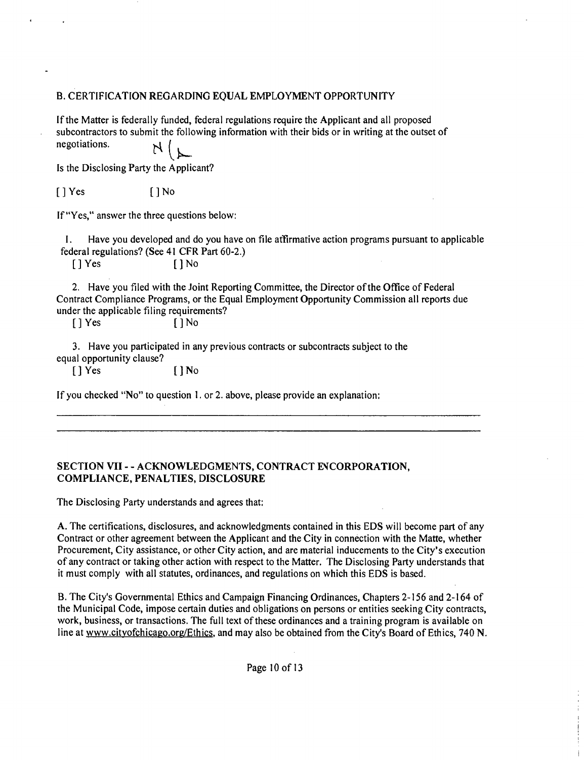## B. CERTIFICATION REGARDING EQUAL EMPLOYMENT OPPORTUNITY

If the Matter is federally funded, federal regulations require the Applicant and all proposed subcontractors to submit the following information with their bids or in writing at the outset of negotiations.  $\frac{1}{2}$ 

Is the Disclosing Party the Applicant?

[ J Yes [ J No

If "Yes," answer the three questions below;

I. Have you developed and do you have on file atfirmative action programs pursuant to applicable federal regulations? (See 41 CFR Part 60-2.)

[ J Yes [ ] No

2. Have you filed with the Joint Reporting Committee, the Director ofthe Office of Federal Contract Compliance Programs, or the Equal Employment Opportunity Commission all reports due under the applicable filing requirements?

[ J Yes [ J No

3. Have you participated in any previous contracts or subcontracts subject to the equal opportunity clause?

[ ] Yes [ ] No

If you checked "No" to question 1. or 2. above, please provide an explanation:

## **SECTION VII - - ACKNOWLEDGMENTS, CONTRACT EVCORPORATION, COMPLIANCE, PENALTIES, DISCLOSURE**

The Disclosing Party understands and agrees that:

A. The certifications, disclosures, and acknowledgments contained in this EDS will become part of any Contract or other agreement between the Applicant and the City in connection with the Matte, whether Procurement, City assistance, or other City action, and are material inducements to the City's execution of any contract or taking other action with respect to the Matter. The Disclosing Party understands that it must comply with all statutes, ordinances, and regulations on which this EDS is based.

B. The City's Governmental Ethics and Campaign Financing Ordinances, Chapters 2-156 and 2-164 of the Municipal Code, impose certain duties and obligations on persons or entities seeking City contracts, work, business, or transactions. The full text of these ordinances and a training program is available on line at www.citvofchicago.org/Ethics, and may also be obtained from the City's Board of Ethics, 740 N.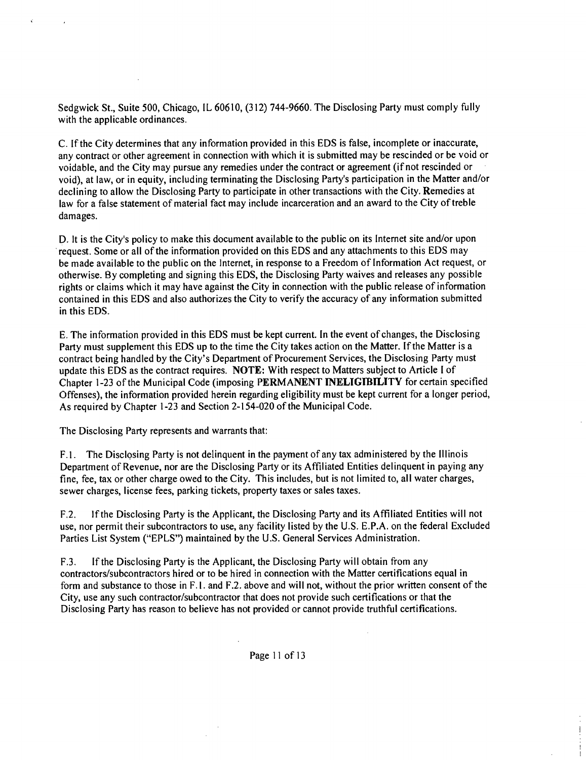Sedgwick St., Suite 500, Chicago, IL 60610, (312) 744-9660. The Disclosing Party must comply fully with the applicable ordinances.

C. If the City determines that any information provided in this EDS is false, incomplete or inaccurate, any contract or other agreement in connection with which it is submitted may be rescinded or be void or voidable, and the City may pursue any remedies under the contract or agreement (if not rescinded or void), at law, or in equity, including terminating the Disclosing Party's participation in the Matter and/or declining to allow the Disclosing Party to participate in other transactions with the City. Remedies at law for a false statement of material fact may include incarceration and an award to the City of treble damages.

D. It is the City's policy to make this document available to the public on its Internet site and/or upon request. Some or all of the information provided on this EDS and any attachments to this EDS may be made available to the public on the Internet, in response to a Freedom of Information Act request, or otherwise. By completing and signing this EDS, the Disclosing Party waives and releases any possible rights or claims which it may have against the City in connection with the public release of information contained in this EDS and also authorizes the City to verify the accuracy of any information submitted in this EDS.

E. The information provided in this EDS must be kept current. In the event of changes, the Disclosing Party must supplement this EDS up to the time the City takes action on the Matter. If the Matter is a contract being handled by the City's Department of Procurement Services, the Disclosing Party must update this EDS as the contract requires. NOTE; With respect to Matters subject to Article I of Chapter 1-23 ofthe Municipal Code (imposing PERMANENT INELIGIBILITY for certain specified Offenses), the information provided herein regarding eligibility must be kept current for a longer period, As required by Chapter 1 -23 and Section 2-154-020 of the Municipal Code.

The Disclosing Party represents and warrants that:

F.1. The Disclosing Party is not delinquent in the payment of any tax administered by the Illinois Department of Revenue, nor are the Disclosing Party or its Affiliated Entities delinquent in paying any fine, fee, tax or other charge owed to the City. This includes, but is not limited to, all water charges, sewer charges, license fees, parking tickets, property taxes or sales taxes.

F,2. If the Disclosing Party is the Applicant, the Disclosing Party and its Affiliated Entities will not use, nor permit their subcontractors to use, any facility listed by the U.S. E.P.A. on the federal Excluded Parties List System ("EPLS") maintained by the U.S. General Services Administration.

F.3. If the Disclosing Party is the Applicant, the Disclosing Party will obtain from any contractors/subcontractors hired or to be hired in connection with the Matter certifications equal in form and substance to those in F.1. and F.2. above and will not, without the prior written consent of the City, use any such contractor/subcontractor that does not provide such certifications or that the Disclosing Party has reason to believe has not provided or cannot provide truthful certifications.

Page 11 of 13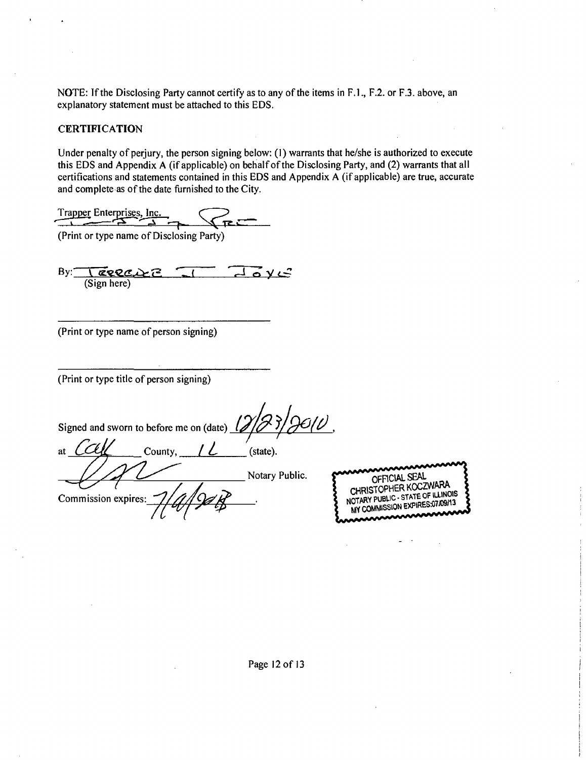NOTE: If the Disclosing Party cannot certify as to any of the items in F.L, F.2. or F.3. above, an explanatory statement must be attached to this EDS.

## **CERTIFICATION**

Under penalty of perjury, the person signing below; (1) warrants that he/she is authorized to execute this EDS and Appendix A (if applicable) on behalf of the Disclosing Party, and (2) warrants that all certifications and statements contained in this EDS and Appendix A (if applicable) are true, accurate and complete as of the date furnished to the City.

Trapper Enterprises, Inc.

(Print or type name of Disclosing Party)

 $By:  $\sqrt{\mathbf{Q}}\mathbf{Q}\mathbf{Q}\mathbf{C}$$ తγటె (Sign here)

(Print or type name of person signing)

(Print or type title of person signing)

Signed and sworn to before me on (date)  $\frac{1}{2}$ ( $\frac{3}{2}$ )

County,  $/ L$  (state). at Notary Public. Commission expires



Page 12 of 13